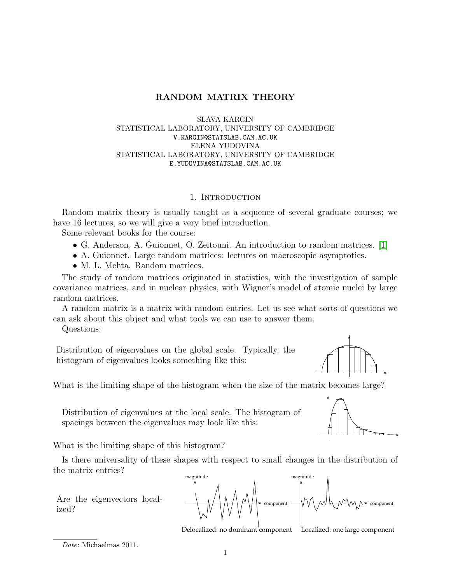# RANDOM MATRIX THEORY

## SLAVA KARGIN STATISTICAL LABORATORY, UNIVERSITY OF CAMBRIDGE V.KARGIN@STATSLAB.CAM.AC.UK ELENA YUDOVINA STATISTICAL LABORATORY, UNIVERSITY OF CAMBRIDGE E.YUDOVINA@STATSLAB.CAM.AC.UK

## 1. INTRODUCTION

Random matrix theory is usually taught as a sequence of several graduate courses; we have 16 lectures, so we will give a very brief introduction.

Some relevant books for the course:

- G. Anderson, A. Guionnet, O. Zeitouni. An introduction to random matrices. [\[1\]](#page-34-0)
- A. Guionnet. Large random matrices: lectures on macroscopic asymptotics.
- M. L. Mehta. Random matrices.

The study of random matrices originated in statistics, with the investigation of sample covariance matrices, and in nuclear physics, with Wigner's model of atomic nuclei by large random matrices.

A random matrix is a matrix with random entries. Let us see what sorts of questions we can ask about this object and what tools we can use to answer them.

Questions:

Distribution of eigenvalues on the global scale. Typically, the histogram of eigenvalues looks something like this:



What is the limiting shape of the histogram when the size of the matrix becomes large?

Distribution of eigenvalues at the local scale. The histogram of spacings between the eigenvalues may look like this:

What is the limiting shape of this histogram?

Is there universality of these shapes with respect to small changes in the distribution of the matrix entries?



Delocalized: no dominant component Localized: one large component

ized?

Date: Michaelmas 2011.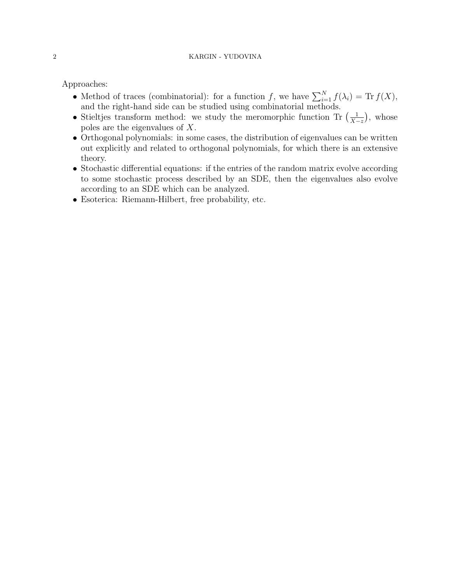Approaches:

- Method of traces (combinatorial): for a function f, we have  $\sum_{i=1}^{N} f(\lambda_i) = \text{Tr } f(X)$ , and the right-hand side can be studied using combinatorial methods.
- Stieltjes transform method: we study the meromorphic function Tr  $\left(\frac{1}{Y}\right)$  $\frac{1}{X-z}$ , whose poles are the eigenvalues of X.
- Orthogonal polynomials: in some cases, the distribution of eigenvalues can be written out explicitly and related to orthogonal polynomials, for which there is an extensive theory.
- Stochastic differential equations: if the entries of the random matrix evolve according to some stochastic process described by an SDE, then the eigenvalues also evolve according to an SDE which can be analyzed.
- Esoterica: Riemann-Hilbert, free probability, etc.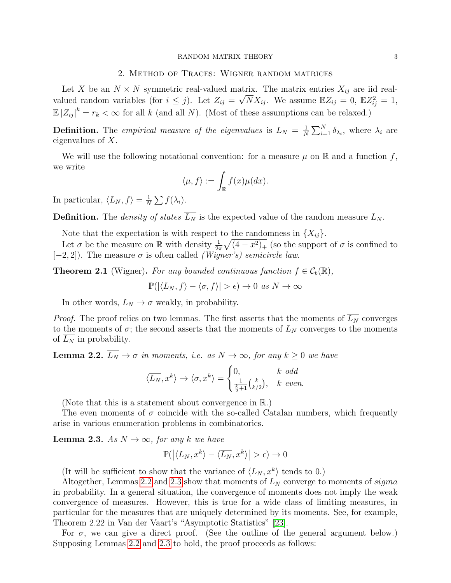#### RANDOM MATRIX THEORY 3

## 2. Method of Traces: Wigner random matrices

Let X be an  $N \times N$  symmetric real-valued matrix. The matrix entries  $X_{ij}$  are iid realvalued random variables (for  $i \leq j$ ). Let  $Z_{ij} = \sqrt{N}X_{ij}$ . We assume  $\mathbb{E}Z_{ij} = 0$ ,  $\mathbb{E}Z_{ij}^2 = 1$ ,  $\mathbb{E}|Z_{ij}|^k = r_k < \infty$  for all k (and all N). (Most of these assumptions can be relaxed.)

**Definition.** The empirical measure of the eigenvalues is  $L_N = \frac{1}{N}$  $\frac{1}{N} \sum_{i=1}^{N} \delta_{\lambda_i}$ , where  $\lambda_i$  are eigenvalues of X.

We will use the following notational convention: for a measure  $\mu$  on  $\mathbb R$  and a function f, we write

$$
\langle \mu, f \rangle := \int_{\mathbb{R}} f(x) \mu(dx).
$$

In particular,  $\langle L_N, f \rangle = \frac{1}{N}$  $\frac{1}{N}\sum f(\lambda_i)$ .

**Definition.** The *density of states*  $\overline{L_N}$  is the expected value of the random measure  $L_N$ .

Note that the expectation is with respect to the randomness in  ${X_{ij}}$ .

Let  $\sigma$  be the measure on R with density  $\frac{1}{2\pi}\sqrt{(4-x^2)_+}$  (so the support of  $\sigma$  is confined to  $[-2, 2]$ ). The measure  $\sigma$  is often called *(Wigner's)* semicircle law.

**Theorem 2.1** (Wigner). For any bounded continuous function  $f \in C_b(\mathbb{R})$ ,

$$
\mathbb{P}(|\langle L_N, f \rangle - \langle \sigma, f \rangle| > \epsilon) \to 0 \text{ as } N \to \infty
$$

In other words,  $L_N \rightarrow \sigma$  weakly, in probability.

*Proof.* The proof relies on two lemmas. The first asserts that the moments of  $\overline{L_N}$  converges to the moments of  $\sigma$ ; the second asserts that the moments of  $L<sub>N</sub>$  converges to the moments of  $L_N$  in probability.

<span id="page-2-0"></span>**Lemma 2.2.**  $\overline{L_N} \to \sigma$  in moments, i.e. as  $N \to \infty$ , for any  $k \geq 0$  we have

$$
\langle \overline{L_N}, x^k \rangle \to \langle \sigma, x^k \rangle = \begin{cases} 0, & k \text{ odd} \\ \frac{1}{\frac{k}{2}+1} {k \choose k/2}, & k \text{ even.} \end{cases}
$$

(Note that this is a statement about convergence in R.)

The even moments of  $\sigma$  coincide with the so-called Catalan numbers, which frequently arise in various enumeration problems in combinatorics.

<span id="page-2-1"></span>**Lemma 2.3.** As  $N \to \infty$ , for any k we have

$$
\mathbb{P}(|\langle L_N, x^k \rangle - \langle \overline{L_N}, x^k \rangle| > \epsilon) \to 0
$$

(It will be sufficient to show that the variance of  $\langle L_N, x^k \rangle$  tends to 0.)

Altogether, Lemmas [2.2](#page-2-0) and [2.3](#page-2-1) show that moments of  $L<sub>N</sub>$  converge to moments of sigma in probability. In a general situation, the convergence of moments does not imply the weak convergence of measures. However, this is true for a wide class of limiting measures, in particular for the measures that are uniquely determined by its moments. See, for example, Theorem 2.22 in Van der Vaart's "Asymptotic Statistics" [\[23\]](#page-35-0).

For  $\sigma$ , we can give a direct proof. (See the outline of the general argument below.) Supposing Lemmas [2.2](#page-2-0) and [2.3](#page-2-1) to hold, the proof proceeds as follows: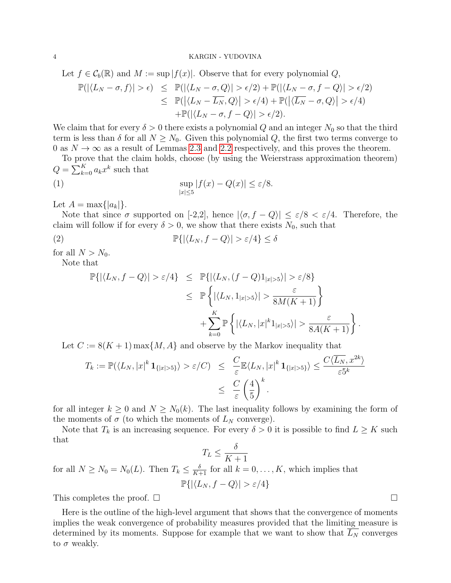Let 
$$
f \in C_b(\mathbb{R})
$$
 and  $M := \sup |f(x)|$ . Observe that for every polynomial Q,

$$
\mathbb{P}(|\langle L_N - \sigma, f \rangle| > \epsilon) \leq \mathbb{P}(|\langle L_N - \sigma, Q \rangle| > \epsilon/2) + \mathbb{P}(|\langle L_N - \sigma, f - Q \rangle| > \epsilon/2)
$$
  

$$
\leq \mathbb{P}(|\langle L_N - \overline{L_N}, Q \rangle| > \epsilon/4) + \mathbb{P}(|\langle \overline{L_N} - \sigma, Q \rangle| > \epsilon/4)
$$
  

$$
+ \mathbb{P}(|\langle L_N - \sigma, f - Q \rangle| > \epsilon/2).
$$

We claim that for every  $\delta > 0$  there exists a polynomial Q and an integer  $N_0$  so that the third term is less than  $\delta$  for all  $N \geq N_0$ . Given this polynomial Q, the first two terms converge to 0 as  $N \to \infty$  as a result of Lemmas [2.3](#page-2-1) and [2.2](#page-2-0) respectively, and this proves the theorem.

To prove that the claim holds, choose (by using the Weierstrass approximation theorem)  $Q = \sum_{k=0}^{K} a_k x^k$  such that

(1) 
$$
\sup_{|x| \le 5} |f(x) - Q(x)| \le \varepsilon/8.
$$

Let  $A = \max\{|a_k|\}.$ 

Note that since  $\sigma$  supported on [-2,2], hence  $|\langle \sigma, f - Q \rangle| \leq \varepsilon/8 < \varepsilon/4$ . Therefore, the claim will follow if for every  $\delta > 0$ , we show that there exists  $N_0$ , such that

(2) 
$$
\mathbb{P}\{|\langle L_N, f - Q \rangle| > \varepsilon/4\} \le \delta
$$

for all  $N > N_0$ .

Note that

$$
\mathbb{P}\{|\langle L_N, f - Q \rangle| > \varepsilon/4\} \leq \mathbb{P}\{|\langle L_N, (f - Q)1_{|x| > 5} \rangle| > \varepsilon/8\}
$$
  

$$
\leq \mathbb{P}\left\{|\langle L_N, 1_{|x| > 5} \rangle| > \frac{\varepsilon}{8M(K+1)}\right\}
$$
  

$$
+ \sum_{k=0}^K \mathbb{P}\left\{|\langle L_N, |x|^k 1_{|x| > 5} \rangle| > \frac{\varepsilon}{8A(K+1)}\right\}.
$$

Let  $C := 8(K+1) \max\{M, A\}$  and observe by the Markov inequality that

$$
T_k := \mathbb{P}(\langle L_N, |x|^k \mathbf{1}_{\{|x| > 5\}} \rangle > \varepsilon/C) \leq \frac{C}{\varepsilon} \mathbb{E}\langle L_N, |x|^k \mathbf{1}_{\{|x| > 5\}} \rangle \leq \frac{C\langle \overline{L_N}, x^{2k} \rangle}{\varepsilon 5^k}
$$
  

$$
\leq \frac{C}{\varepsilon} \left(\frac{4}{5}\right)^k.
$$

for all integer  $k \geq 0$  and  $N \geq N_0(k)$ . The last inequality follows by examining the form of the moments of  $\sigma$  (to which the moments of  $L_N$  converge).

Note that  $T_k$  is an increasing sequence. For every  $\delta > 0$  it is possible to find  $L \geq K$  such that

$$
T_L \le \frac{\delta}{K+1}
$$

for all  $N \ge N_0 = N_0(L)$ . Then  $T_k \le \frac{\delta}{K+1}$  for all  $k = 0, \ldots, K$ , which implies that  $\mathbb{P}\{|\langle L_N, f - Q\rangle| > \varepsilon/4\}$ 

This completes the proof.  $\square$ 

Here is the outline of the high-level argument that shows that the convergence of moments implies the weak convergence of probability measures provided that the limiting measure is determined by its moments. Suppose for example that we want to show that  $L<sub>N</sub>$  converges to  $\sigma$  weakly.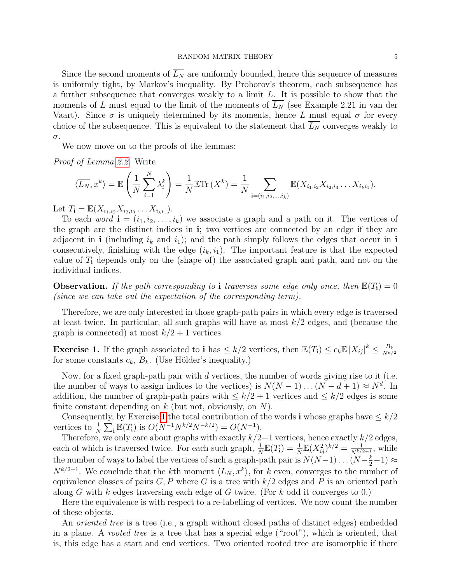#### RANDOM MATRIX THEORY 5

Since the second moments of  $\overline{L_N}$  are uniformly bounded, hence this sequence of measures is uniformly tight, by Markov's inequality. By Prohorov's theorem, each subsequence has a further subsequence that converges weakly to a limit L. It is possible to show that the moments of L must equal to the limit of the moments of  $\overline{L_N}$  (see Example 2.21 in van der Vaart). Since  $\sigma$  is uniquely determined by its moments, hence L must equal  $\sigma$  for every choice of the subsequence. This is equivalent to the statement that  $\overline{L_N}$  converges weakly to σ.

We now move on to the proofs of the lemmas:

Proof of Lemma [2.2.](#page-2-0) Write

$$
\langle \overline{L_N}, x^k \rangle = \mathbb{E} \left( \frac{1}{N} \sum_{i=1}^N \lambda_i^k \right) = \frac{1}{N} \mathbb{E} \text{Tr} \left( X^k \right) = \frac{1}{N} \sum_{\mathbf{i} = (i_1, i_2, \dots, i_k)} \mathbb{E} (X_{i_1, i_2} X_{i_2, i_3} \dots X_{i_k i_1}).
$$

Let  $T_{\mathbf{i}} = \mathbb{E}(X_{i_1,i_2}X_{i_2,i_3}\ldots X_{i_ki_1}).$ 

To each word  $\mathbf{i} = (i_1, i_2, \dots, i_k)$  we associate a graph and a path on it. The vertices of the graph are the distinct indices in i; two vertices are connected by an edge if they are adjacent in i (including  $i_k$  and  $i_1$ ); and the path simply follows the edges that occur in i consecutively, finishing with the edge  $(i_k, i_1)$ . The important feature is that the expected value of  $T_i$  depends only on the (shape of) the associated graph and path, and not on the individual indices.

**Observation.** If the path corresponding to i traverses some edge only once, then  $\mathbb{E}(T_i) = 0$ (since we can take out the expectation of the corresponding term).

Therefore, we are only interested in those graph-path pairs in which every edge is traversed at least twice. In particular, all such graphs will have at most  $k/2$  edges, and (because the graph is connected) at most  $k/2 + 1$  vertices.

<span id="page-4-0"></span>**Exercise 1.** If the graph associated to **i** has  $\leq k/2$  vertices, then  $\mathbb{E}(T_i) \leq c_k \mathbb{E}|X_{ij}|^k \leq \frac{B_k}{N^k}$  $N^{k/2}$ for some constants  $c_k$ ,  $B_k$ . (Use Hölder's inequality.)

Now, for a fixed graph-path pair with d vertices, the number of words giving rise to it (i.e. the number of ways to assign indices to the vertices) is  $N(N-1)...(N-d+1) \approx N^d$ . In addition, the number of graph-path pairs with  $\leq k/2 + 1$  vertices and  $\leq k/2$  edges is some finite constant depending on  $k$  (but not, obviously, on  $N$ ).

Consequently, by Exercise [1](#page-4-0) the total contribution of the words i whose graphs have  $\leq k/2$ vertices to  $\frac{1}{N} \sum_{i} \mathbb{E}(T_i)$  is  $O(N^{-1}N^{k/2}N^{-k/2}) = O(N^{-1}).$ 

Therefore, we only care about graphs with exactly  $k/2+1$  vertices, hence exactly  $k/2$  edges, each of which is traversed twice. For each such graph,  $\frac{1}{N} \mathbb{E}(T_i) = \frac{1}{N} \mathbb{E}(X_{ij}^2)^{k/2} = \frac{1}{N^{k/2+1}}$ , while the number of ways to label the vertices of such a graph-path pair is  $N(N-1)...(N-\frac{k}{2}-1) \approx$  $N^{k/2+1}$ . We conclude that the kth moment  $\langle \overline{L_N}, x^k \rangle$ , for k even, converges to the number of equivalence classes of pairs  $G, P$  where G is a tree with  $k/2$  edges and P is an oriented path along G with k edges traversing each edge of G twice. (For k odd it converges to  $0.$ )

Here the equivalence is with respect to a re-labelling of vertices. We now count the number of these objects.

An oriented tree is a tree (i.e., a graph without closed paths of distinct edges) embedded in a plane. A rooted tree is a tree that has a special edge ("root"), which is oriented, that is, this edge has a start and end vertices. Two oriented rooted tree are isomorphic if there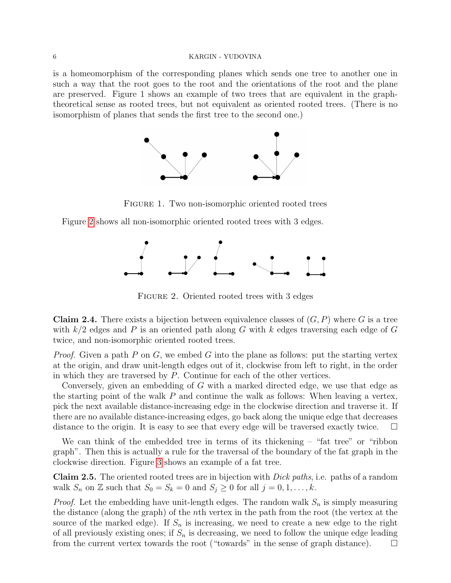is a homeomorphism of the corresponding planes which sends one tree to another one in such a way that the root goes to the root and the orientations of the root and the plane are preserved. Figure 1 shows an example of two trees that are equivalent in the graphtheoretical sense as rooted trees, but not equivalent as oriented rooted trees. (There is no isomorphism of planes that sends the first tree to the second one.)



FIGURE 1. Two non-isomorphic oriented rooted trees

Figure [2](#page-5-0) shows all non-isomorphic oriented rooted trees with 3 edges.



<span id="page-5-0"></span>FIGURE 2. Oriented rooted trees with 3 edges

**Claim 2.4.** There exists a bijection between equivalence classes of  $(G, P)$  where G is a tree with  $k/2$  edges and P is an oriented path along G with k edges traversing each edge of G twice, and non-isomorphic oriented rooted trees.

*Proof.* Given a path P on G, we embed G into the plane as follows: put the starting vertex at the origin, and draw unit-length edges out of it, clockwise from left to right, in the order in which they are traversed by  $P$ . Continue for each of the other vertices.

Conversely, given an embedding of G with a marked directed edge, we use that edge as the starting point of the walk  $P$  and continue the walk as follows: When leaving a vertex, pick the next available distance-increasing edge in the clockwise direction and traverse it. If there are no available distance-increasing edges, go back along the unique edge that decreases distance to the origin. It is easy to see that every edge will be traversed exactly twice.  $\Box$ 

We can think of the embedded tree in terms of its thickening – "fat tree" or "ribbon" graph". Then this is actually a rule for the traversal of the boundary of the fat graph in the clockwise direction. Figure [3](#page-6-0) shows an example of a fat tree.

Claim 2.5. The oriented rooted trees are in bijection with *Dick paths*, i.e. paths of a random walk  $S_n$  on  $\mathbb Z$  such that  $S_0 = S_k = 0$  and  $S_j \geq 0$  for all  $j = 0, 1, ..., k$ .

*Proof.* Let the embedding have unit-length edges. The random walk  $S_n$  is simply measuring the distance (along the graph) of the nth vertex in the path from the root (the vertex at the source of the marked edge). If  $S_n$  is increasing, we need to create a new edge to the right of all previously existing ones; if  $S_n$  is decreasing, we need to follow the unique edge leading from the current vertex towards the root ("towards" in the sense of graph distance).  $\Box$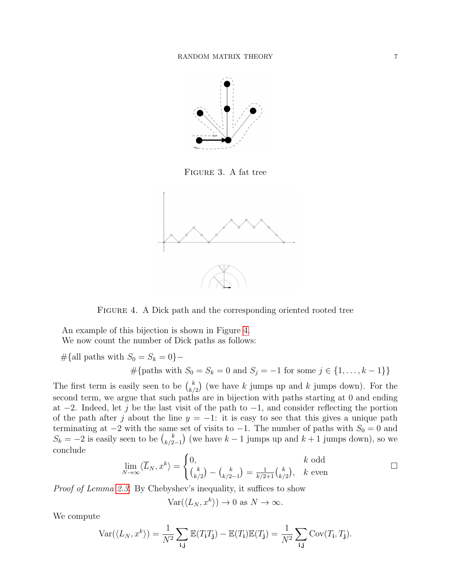

<span id="page-6-0"></span>FIGURE 3. A fat tree



<span id="page-6-1"></span>FIGURE 4. A Dick path and the corresponding oriented rooted tree

An example of this bijection is shown in Figure [4.](#page-6-1) We now count the number of Dick paths as follows:

$$
#\{all paths with S0 = Sk = 0\}-\n#\{paths with S0 = Sk = 0 and Sj = -1 for some j \in \{1, ..., k-1\}\}
$$

The first term is easily seen to be  $\binom{k}{k}$  $\binom{k}{k/2}$  (we have k jumps up and k jumps down). For the second term, we argue that such paths are in bijection with paths starting at 0 and ending at  $-2$ . Indeed, let j be the last visit of the path to  $-1$ , and consider reflecting the portion of the path after j about the line  $y = -1$ : it is easy to see that this gives a unique path terminating at  $-2$  with the same set of visits to  $-1$ . The number of paths with  $S_0 = 0$  and  $S_k = -2$  is easily seen to be  $\binom{k}{k/2}$  $\binom{k}{k/2-1}$  (we have  $k-1$  jumps up and  $k+1$  jumps down), so we conclude

$$
\lim_{N \to \infty} \langle \overline{L}_N, x^k \rangle = \begin{cases} 0, & k \text{ odd} \\ {k \choose k/2} - {k \choose k/2 - 1} = \frac{1}{k/2 + 1} {k \choose k/2}, & k \text{ even} \end{cases} \square
$$

Proof of Lemma [2.3.](#page-2-1) By Chebyshev's inequality, it suffices to show

$$
Var(\langle L_N, x^k \rangle) \to 0 \text{ as } N \to \infty.
$$

We compute

$$
\text{Var}(\langle L_N, x^k \rangle) = \frac{1}{N^2} \sum_{\mathbf{i}, \mathbf{j}} \mathbb{E}(T_{\mathbf{i}} T_{\mathbf{j}}) - \mathbb{E}(T_{\mathbf{i}}) \mathbb{E}(T_{\mathbf{j}}) = \frac{1}{N^2} \sum_{\mathbf{i}, \mathbf{j}} \text{Cov}(T_{\mathbf{i}}, T_{\mathbf{j}}).
$$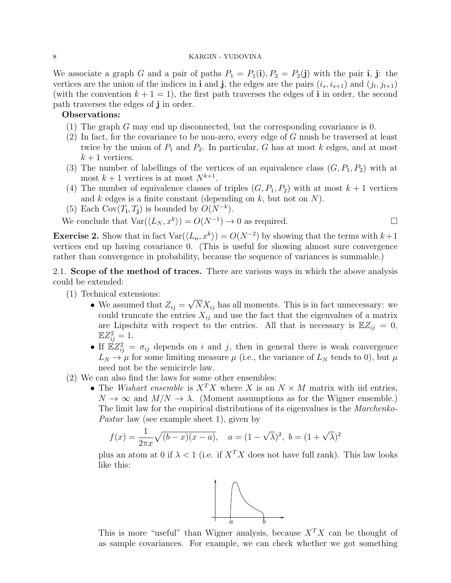We associate a graph G and a pair of paths  $P_1 = P_1(i), P_2 = P_2(j)$  with the pair i, j: the vertices are the union of the indices in **i** and **j**, the edges are the pairs  $(i_s, i_{s+1})$  and  $(j_t, j_{t+1})$ (with the convention  $k + 1 = 1$ ), the first path traverses the edges of i in order, the second path traverses the edges of j in order.

## Observations:

- (1) The graph G may end up disconnected, but the corresponding covariance is 0.
- (2) In fact, for the covariance to be non-zero, every edge of G mush be traversed at least twice by the union of  $P_1$  and  $P_2$ . In particular, G has at most k edges, and at most  $k+1$  vertices.
- (3) The number of labellings of the vertices of an equivalence class  $(G, P_1, P_2)$  with at most  $k+1$  vertices is at most  $N^{k+1}$ .
- (4) The number of equivalence classes of triples  $(G, P_1, P_2)$  with at most  $k + 1$  vertices and  $k$  edges is a finite constant (depending on  $k$ , but not on  $N$ ).
- (5) Each Cov $(T_i, T_j)$  is bounded by  $O(N^{-k})$ .

We conclude that  $\text{Var}(\langle L_N, x^k \rangle) = O(N^{-1}) \to 0$  as required.

**Exercise 2.** Show that in fact  $\text{Var}(\langle L_n, x^k \rangle) = O(N^{-2})$  by showing that the terms with  $k+1$ vertices end up having covariance 0. (This is useful for showing almost sure convergence rather than convergence in probability, because the sequence of variances is summable.)

2.1. Scope of the method of traces. There are various ways in which the above analysis could be extended:

- (1) Technical extensions:
	- We assumed that  $Z_{ij} =$ √  $NX_{ij}$  has all moments. This is in fact unnecessary: we could truncate the entries  $X_{ij}$  and use the fact that the eigenvalues of a matrix are Lipschitz with respect to the entries. All that is necessary is  $\mathbb{E}Z_{ij} = 0$ ,  $\mathbb{E}Z_{ij}^2=1.$
	- If  $\mathbb{E}Z_{ij}^2 = \sigma_{ij}$  depends on i and j, then in general there is weak convergence  $L_N \to \mu$  for some limiting measure  $\mu$  (i.e., the variance of  $L_N$  tends to 0), but  $\mu$ need not be the semicircle law.
- (2) We can also find the laws for some other ensembles:
	- The Wishart ensemble is  $X^T X$  where X is an  $N \times M$  matrix with iid entries,  $N \to \infty$  and  $M/N \to \lambda$ . (Moment assumptions as for the Wigner ensemble.) The limit law for the empirical distributions of its eigenvalues is the Marchenko-Pastur law (see example sheet 1), given by

$$
f(x) = \frac{1}{2\pi x} \sqrt{(b-x)(x-a)}, \quad a = (1 - \sqrt{\lambda})^2, \ b = (1 + \sqrt{\lambda})^2
$$

plus an atom at 0 if  $\lambda < 1$  (i.e. if  $X<sup>T</sup>X$  does not have full rank). This law looks like this:



This is more "useful" than Wigner analysis, because  $X<sup>T</sup>X$  can be thought of as sample covariances. For example, we can check whether we got something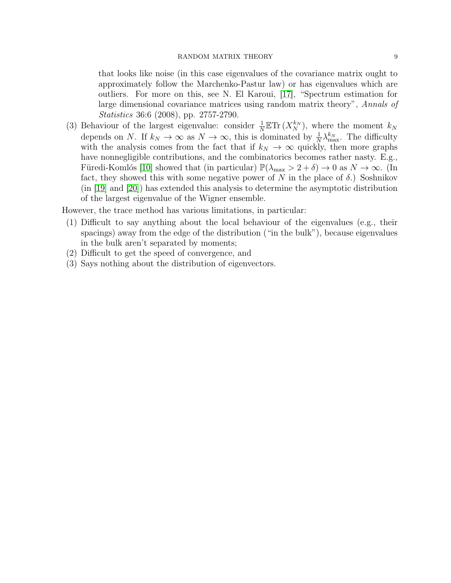that looks like noise (in this case eigenvalues of the covariance matrix ought to approximately follow the Marchenko-Pastur law) or has eigenvalues which are outliers. For more on this, see N. El Karoui, [\[17\]](#page-35-1), "Spectrum estimation for large dimensional covariance matrices using random matrix theory", Annals of Statistics 36:6 (2008), pp. 2757-2790.

(3) Behaviour of the largest eigenvalue: consider  $\frac{1}{N}\mathbb{E}\text{Tr}(X_N^{k_N})$ , where the moment  $k_N$ depends on N. If  $k_N \to \infty$  as  $N \to \infty$ , this is dominated by  $\frac{1}{N} \lambda_{\max}^{k_N}$ . The difficulty with the analysis comes from the fact that if  $k_N \to \infty$  quickly, then more graphs have nonnegligible contributions, and the combinatorics becomes rather nasty. E.g., Füredi-Komlós [\[10\]](#page-35-2) showed that (in particular)  $\mathbb{P}(\lambda_{\max} > 2 + \delta) \to 0$  as  $N \to \infty$ . (In fact, they showed this with some negative power of N in the place of  $\delta$ .) Soshnikov (in [\[19\]](#page-35-3) and [\[20\]](#page-35-4)) has extended this analysis to determine the asymptotic distribution of the largest eigenvalue of the Wigner ensemble.

However, the trace method has various limitations, in particular:

- (1) Difficult to say anything about the local behaviour of the eigenvalues (e.g., their spacings) away from the edge of the distribution ("in the bulk"), because eigenvalues in the bulk aren't separated by moments;
- (2) Difficult to get the speed of convergence, and
- (3) Says nothing about the distribution of eigenvectors.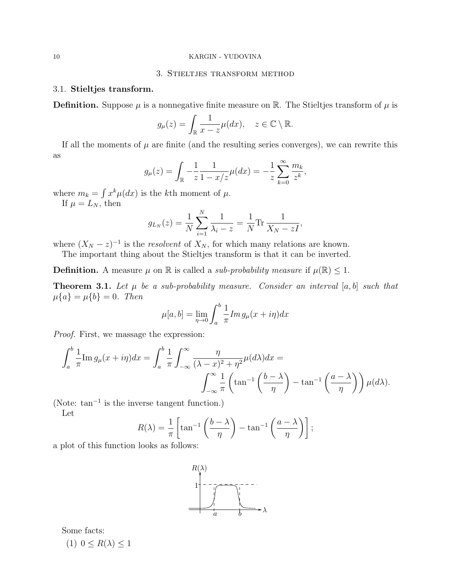## 3. Stieltjes transform method

## 3.1. Stieltjes transform.

**Definition.** Suppose  $\mu$  is a nonnegative finite measure on R. The Stieltjes transform of  $\mu$  is

$$
g_{\mu}(z) = \int_{\mathbb{R}} \frac{1}{x - z} \mu(dx), \quad z \in \mathbb{C} \setminus \mathbb{R}.
$$

If all the moments of  $\mu$  are finite (and the resulting series converges), we can rewrite this as

$$
g_{\mu}(z) = \int_{\mathbb{R}} -\frac{1}{z} \frac{1}{1 - x/z} \mu(dx) = -\frac{1}{z} \sum_{k=0}^{\infty} \frac{m_k}{z^k},
$$

where  $m_k = \int x^k \mu(dx)$  is the kth moment of  $\mu$ .

If  $\mu = L_N$ , then

$$
g_{L_N}(z) = \frac{1}{N} \sum_{i=1}^{N} \frac{1}{\lambda_i - z} = \frac{1}{N} \text{Tr} \frac{1}{X_N - zI},
$$

where  $(X_N - z)^{-1}$  is the *resolvent* of  $X_N$ , for which many relations are known.

The important thing about the Stieltjes transform is that it can be inverted.

**Definition.** A measure  $\mu$  on  $\mathbb R$  is called a *sub-probability measure* if  $\mu(\mathbb R) \leq 1$ .

**Theorem 3.1.** Let  $\mu$  be a sub-probability measure. Consider an interval  $[a, b]$  such that  $\mu\{a\} = \mu\{b\} = 0$ . Then

$$
\mu[a, b] = \lim_{\eta \to 0} \int_a^b \frac{1}{\pi} Im \, g_\mu(x + i\eta) dx
$$

Proof. First, we massage the expression:

$$
\int_{a}^{b} \frac{1}{\pi} \text{Im } g_{\mu}(x+i\eta) dx = \int_{a}^{b} \frac{1}{\pi} \int_{-\infty}^{\infty} \frac{\eta}{(\lambda - x)^{2} + \eta^{2}} \mu(d\lambda) dx =
$$

$$
\int_{-\infty}^{\infty} \frac{1}{\pi} \left( \tan^{-1} \left( \frac{b-\lambda}{\eta} \right) - \tan^{-1} \left( \frac{a-\lambda}{\eta} \right) \right) \mu(d\lambda).
$$

(Note: tan<sup>−</sup><sup>1</sup> is the inverse tangent function.)

Let

$$
R(\lambda) = \frac{1}{\pi} \left[ \tan^{-1} \left( \frac{b - \lambda}{\eta} \right) - \tan^{-1} \left( \frac{a - \lambda}{\eta} \right) \right];
$$

a plot of this function looks as follows:



Some facts: (1)  $0 \leq R(\lambda) \leq 1$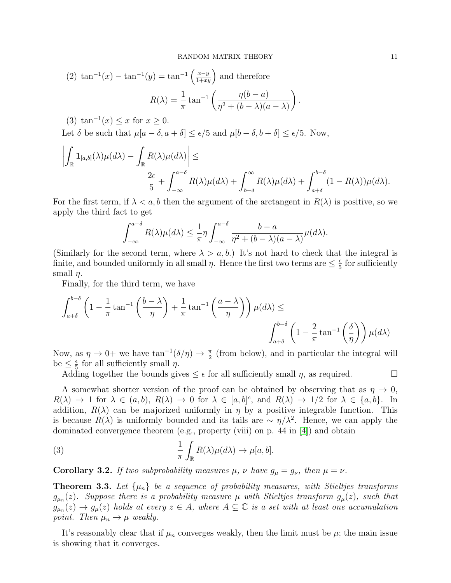.

(2) 
$$
\tan^{-1}(x) - \tan^{-1}(y) = \tan^{-1}\left(\frac{x-y}{1+xy}\right)
$$
 and therefore  

$$
R(\lambda) = \frac{1}{\pi} \tan^{-1}\left(\frac{\eta(b-a)}{\eta^2 + (b-\lambda)(a-\lambda)}\right)
$$

(3) tan<sup>-1</sup> $(x) \leq x$  for  $x \geq 0$ .

Let  $\delta$  be such that  $\mu[a - \delta, a + \delta] \leq \epsilon/5$  and  $\mu[b - \delta, b + \delta] \leq \epsilon/5$ . Now,

$$
\left| \int_{\mathbb{R}} \mathbf{1}_{[a,b]}(\lambda) \mu(d\lambda) - \int_{\mathbb{R}} R(\lambda) \mu(d\lambda) \right| \le
$$
  

$$
\frac{2\epsilon}{5} + \int_{-\infty}^{a-\delta} R(\lambda) \mu(d\lambda) + \int_{b+\delta}^{\infty} R(\lambda) \mu(d\lambda) + \int_{a+\delta}^{b-\delta} (1 - R(\lambda)) \mu(d\lambda).
$$

For the first term, if  $\lambda < a, b$  then the argument of the arctangent in  $R(\lambda)$  is positive, so we apply the third fact to get

$$
\int_{-\infty}^{a-\delta} R(\lambda)\mu(d\lambda) \leq \frac{1}{\pi} \eta \int_{-\infty}^{a-\delta} \frac{b-a}{\eta^2 + (b-\lambda)(a-\lambda)} \mu(d\lambda).
$$

(Similarly for the second term, where  $\lambda > a, b$ ) It's not hard to check that the integral is finite, and bounded uniformly in all small  $\eta$ . Hence the first two terms are  $\leq \frac{\epsilon}{5}$  $\frac{\epsilon}{5}$  for sufficiently small  $n$ .

Finally, for the third term, we have

$$
\int_{a+\delta}^{b-\delta} \left(1 - \frac{1}{\pi} \tan^{-1} \left(\frac{b-\lambda}{\eta}\right) + \frac{1}{\pi} \tan^{-1} \left(\frac{a-\lambda}{\eta}\right)\right) \mu(d\lambda) \le \int_{a+\delta}^{b-\delta} \left(1 - \frac{2}{\pi} \tan^{-1} \left(\frac{\delta}{\eta}\right)\right) \mu(d\lambda)
$$

Now, as  $\eta \to 0^+$  we have  $\tan^{-1}(\delta/\eta) \to \frac{\pi}{2}$  (from below), and in particular the integral will be  $\leq \frac{\epsilon}{5}$  $\frac{\epsilon}{5}$  for all sufficiently small  $\eta$ .

Adding together the bounds gives  $\leq \epsilon$  for all sufficiently small  $\eta$ , as required.

A somewhat shorter version of the proof can be obtained by observing that as  $\eta \to 0$ ,  $R(\lambda) \to 1$  for  $\lambda \in (a, b), R(\lambda) \to 0$  for  $\lambda \in [a, b]^c$ , and  $R(\lambda) \to 1/2$  for  $\lambda \in \{a, b\}$ . In addition,  $R(\lambda)$  can be majorized uniformly in  $\eta$  by a positive integrable function. This is because  $R(\lambda)$  is uniformly bounded and its tails are  $\sim \eta/\lambda^2$ . Hence, we can apply the dominated convergence theorem (e.g., property (viii) on p. 44 in [\[4\]](#page-34-1)) and obtain

(3) 
$$
\frac{1}{\pi} \int_{\mathbb{R}} R(\lambda) \mu(d\lambda) \to \mu[a, b].
$$

**Corollary 3.2.** If two subprobability measures  $\mu$ ,  $\nu$  have  $g_{\mu} = g_{\nu}$ , then  $\mu = \nu$ .

<span id="page-10-0"></span>**Theorem 3.3.** Let  $\{\mu_n\}$  be a sequence of probability measures, with Stieltjes transforms  $g_{\mu_n}(z)$ . Suppose there is a probability measure  $\mu$  with Stieltjes transform  $g_\mu(z)$ , such that  $g_{\mu_n}(z) \to g_\mu(z)$  holds at every  $z \in A$ , where  $A \subseteq \mathbb{C}$  is a set with at least one accumulation point. Then  $\mu_n \to \mu$  weakly.

It's reasonably clear that if  $\mu_n$  converges weakly, then the limit must be  $\mu$ ; the main issue is showing that it converges.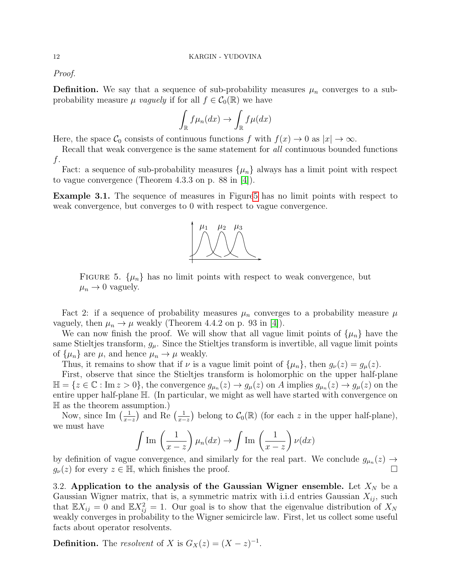Proof.

**Definition.** We say that a sequence of sub-probability measures  $\mu_n$  converges to a subprobability measure  $\mu$  vaguely if for all  $f \in C_0(\mathbb{R})$  we have

$$
\int_{\mathbb{R}} f \mu_n(dx) \to \int_{\mathbb{R}} f \mu(dx)
$$

Here, the space  $\mathcal{C}_0$  consists of continuous functions f with  $f(x) \to 0$  as  $|x| \to \infty$ .

Recall that weak convergence is the same statement for all continuous bounded functions f.

Fact: a sequence of sub-probability measures  $\{\mu_n\}$  always has a limit point with respect to vague convergence (Theorem 4.3.3 on p. 88 in [\[4\]](#page-34-1)).

Example 3.1. The sequence of measures in Figur[e5](#page-11-0) has no limit points with respect to weak convergence, but converges to 0 with respect to vague convergence.



<span id="page-11-0"></span>FIGURE 5.  $\{\mu_n\}$  has no limit points with respect to weak convergence, but  $\mu_n \to 0$  vaguely.

Fact 2: if a sequence of probability measures  $\mu_n$  converges to a probability measure  $\mu$ vaguely, then  $\mu_n \to \mu$  weakly (Theorem 4.4.2 on p. 93 in [\[4\]](#page-34-1)).

We can now finish the proof. We will show that all vague limit points of  $\{\mu_n\}$  have the same Stieltjes transform,  $g_{\mu}$ . Since the Stieltjes transform is invertible, all vague limit points of  $\{\mu_n\}$  are  $\mu$ , and hence  $\mu_n \to \mu$  weakly.

Thus, it remains to show that if  $\nu$  is a vague limit point of  $\{\mu_n\}$ , then  $g_{\nu}(z) = g_{\mu}(z)$ .

First, observe that since the Stieltjes transform is holomorphic on the upper half-plane  $\mathbb{H} = \{z \in \mathbb{C} : \text{Im } z > 0\}$ , the convergence  $g_{\mu_n}(z) \to g_{\mu}(z)$  on A implies  $g_{\mu_n}(z) \to g_{\mu}(z)$  on the entire upper half-plane H. (In particular, we might as well have started with convergence on H as the theorem assumption.)

Now, since Im  $\left(\frac{1}{r}\right)$  $\frac{1}{x-z}$ ) and Re  $\left(\frac{1}{x-z}\right)$  $\frac{1}{x-z}$ ) belong to  $C_0(\mathbb{R})$  (for each z in the upper half-plane), we must have

$$
\int \operatorname{Im} \left( \frac{1}{x - z} \right) \mu_n(dx) \to \int \operatorname{Im} \left( \frac{1}{x - z} \right) \nu(dx)
$$

by definition of vague convergence, and similarly for the real part. We conclude  $g_{\mu_n}(z) \to$  $g_{\nu}(z)$  for every  $z \in \mathbb{H}$ , which finishes the proof.

3.2. Application to the analysis of the Gaussian Wigner ensemble. Let  $X_N$  be a Gaussian Wigner matrix, that is, a symmetric matrix with i.i.d entries Gaussian  $X_{ij}$ , such that  $\mathbb{E} X_{ij} = 0$  and  $\mathbb{E} X_{ij}^2 = 1$ . Our goal is to show that the eigenvalue distribution of  $X_N$ weakly converges in probability to the Wigner semicircle law. First, let us collect some useful facts about operator resolvents.

**Definition.** The resolvent of X is  $G_X(z) = (X - z)^{-1}$ .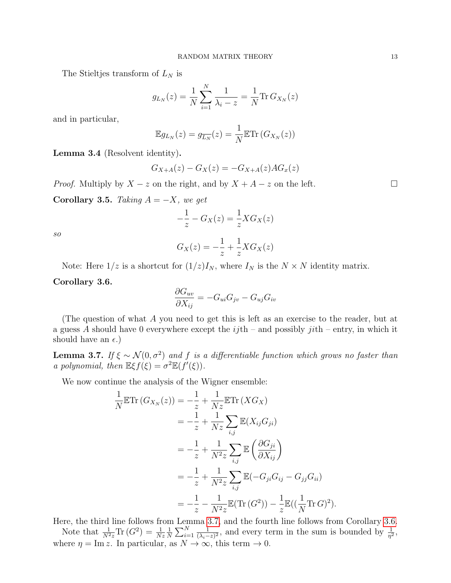The Stieltjes transform of  $L_N$  is

$$
g_{L_N}(z) = \frac{1}{N} \sum_{i=1}^{N} \frac{1}{\lambda_i - z} = \frac{1}{N} \text{Tr} \, G_{X_N}(z)
$$

and in particular,

$$
\mathbb{E}g_{L_N}(z) = g_{\overline{L_N}}(z) = \frac{1}{N} \mathbb{E} \text{Tr} (G_{X_N}(z))
$$

Lemma 3.4 (Resolvent identity).

$$
G_{X+A}(z) - G_X(z) = -G_{X+A}(z)AG_x(z)
$$

*Proof.* Multiply by  $X - z$  on the right, and by  $X + A - z$  on the left.  $\square$ 

Corollary 3.5. Taking  $A = -X$ , we get

$$
-\frac{1}{z} - G_X(z) = \frac{1}{z} X G_X(z)
$$

so

$$
G_X(z) = -\frac{1}{z} + \frac{1}{z} X G_X(z)
$$

Note: Here  $1/z$  is a shortcut for  $(1/z)I_N$ , where  $I_N$  is the  $N \times N$  identity matrix.

<span id="page-12-1"></span>Corollary 3.6.

$$
\frac{\partial G_{uv}}{\partial X_{ij}} = -G_{ui}G_{jv} - G_{uj}G_{iv}
$$

(The question of what A you need to get this is left as an exercise to the reader, but at a guess A should have 0 everywhere except the  $i$ th – and possibly  $j$ th – entry, in which it should have an  $\epsilon$ .)

<span id="page-12-0"></span>**Lemma 3.7.** If  $\xi \sim \mathcal{N}(0, \sigma^2)$  and f is a differentiable function which grows no faster than a polynomial, then  $\mathbb{E}\xi f(\xi) = \sigma^2 \mathbb{E}(f'(\xi)).$ 

We now continue the analysis of the Wigner ensemble:

$$
\frac{1}{N}\mathbb{E}\mathrm{Tr}\left(G_{X_{N}}(z)\right) = -\frac{1}{z} + \frac{1}{Nz}\mathbb{E}\mathrm{Tr}\left(XG_{X}\right)
$$
\n
$$
= -\frac{1}{z} + \frac{1}{Nz}\sum_{i,j}\mathbb{E}(X_{ij}G_{ji})
$$
\n
$$
= -\frac{1}{z} + \frac{1}{N^{2}z}\sum_{i,j}\mathbb{E}\left(\frac{\partial G_{ji}}{\partial X_{ij}}\right)
$$
\n
$$
= -\frac{1}{z} + \frac{1}{N^{2}z}\sum_{i,j}\mathbb{E}(-G_{ji}G_{ij} - G_{jj}G_{ii})
$$
\n
$$
= -\frac{1}{z} - \frac{1}{N^{2}z}\mathbb{E}(\mathrm{Tr}\left(G^{2}\right)) - \frac{1}{z}\mathbb{E}((\frac{1}{N}\mathrm{Tr}\,G)^{2}).
$$

Here, the third line follows from Lemma [3.7,](#page-12-0) and the fourth line follows from Corollary [3.6.](#page-12-1) Note that  $\frac{1}{N^2z}\text{Tr}(G^2) = \frac{1}{Nz}$ 1  $\frac{1}{N} \sum_{i=1}^{N}$ 1  $\frac{1}{(\lambda_i-z)^2}$ , and every term in the sum is bounded by  $\frac{1}{\eta^2}$ , where  $\eta = \text{Im } z$ . In particular, as  $N \to \infty$ , this term  $\to 0$ .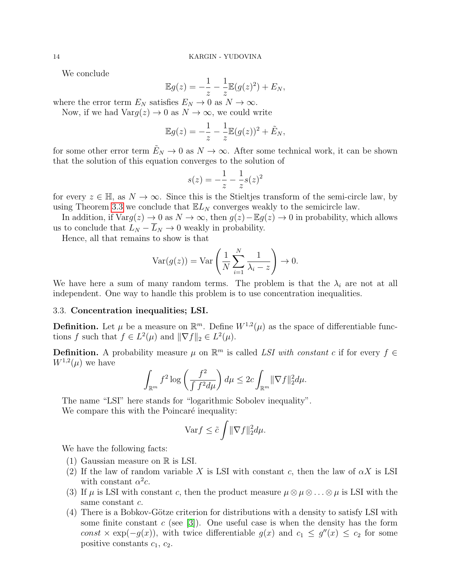We conclude

$$
\mathbb{E}g(z) = -\frac{1}{z} - \frac{1}{z}\mathbb{E}(g(z)^{2}) + E_{N},
$$

where the error term  $E_N$  satisfies  $E_N \to 0$  as  $N \to \infty$ .

Now, if we had  $\text{Var} g(z) \to 0$  as  $N \to \infty$ , we could write

$$
\mathbb{E}g(z) = -\frac{1}{z} - \frac{1}{z}\mathbb{E}(g(z))^2 + \tilde{E}_N,
$$

for some other error term  $\tilde{E}_N \to 0$  as  $N \to \infty$ . After some technical work, it can be shown that the solution of this equation converges to the solution of

$$
s(z) = -\frac{1}{z} - \frac{1}{z}s(z)^2
$$

for every  $z \in \mathbb{H}$ , as  $N \to \infty$ . Since this is the Stieltjes transform of the semi-circle law, by using Theorem [3.3](#page-10-0) we conclude that  $\mathbb{E}L_N$  converges weakly to the semicircle law.

In addition, if  $\text{Var}g(z) \to 0$  as  $N \to \infty$ , then  $g(z) - \mathbb{E}g(z) \to 0$  in probability, which allows us to conclude that  $L_N - L_N \rightarrow 0$  weakly in probability.

Hence, all that remains to show is that

$$
\text{Var}(g(z)) = \text{Var}\left(\frac{1}{N}\sum_{i=1}^{N}\frac{1}{\lambda_i - z}\right) \to 0.
$$

We have here a sum of many random terms. The problem is that the  $\lambda_i$  are not at all independent. One way to handle this problem is to use concentration inequalities.

## 3.3. Concentration inequalities; LSI.

**Definition.** Let  $\mu$  be a measure on  $\mathbb{R}^m$ . Define  $W^{1,2}(\mu)$  as the space of differentiable functions f such that  $f \in L^2(\mu)$  and  $\|\nabla f\|_2 \in L^2(\mu)$ .

**Definition.** A probability measure  $\mu$  on  $\mathbb{R}^m$  is called LSI with constant c if for every  $f \in$  $W^{1,2}(\mu)$  we have

$$
\int_{\mathbb{R}^m} f^2 \log \left( \frac{f^2}{\int f^2 d\mu} \right) d\mu \leq 2c \int_{\mathbb{R}^m} ||\nabla f||_2^2 d\mu.
$$

The name "LSI" here stands for "logarithmic Sobolev inequality". We compare this with the Poincaré inequality:

$$
\text{Var} f \leq \tilde{c} \int ||\nabla f||_2^2 d\mu.
$$

We have the following facts:

- (1) Gaussian measure on  $\mathbb R$  is LSI.
- <span id="page-13-0"></span>(2) If the law of random variable X is LSI with constant c, then the law of  $\alpha X$  is LSI with constant  $\alpha^2 c$ .
- <span id="page-13-1"></span>(3) If  $\mu$  is LSI with constant c, then the product measure  $\mu \otimes \mu \otimes \ldots \otimes \mu$  is LSI with the same constant  $c$ .
- $(4)$  There is a Bobkov-Götze criterion for distributions with a density to satisfy LSI with some finite constant c (see  $[3]$ ). One useful case is when the density has the form const  $\times$  exp( $-g(x)$ ), with twice differentiable  $g(x)$  and  $c_1 \leq g''(x) \leq c_2$  for some positive constants  $c_1, c_2$ .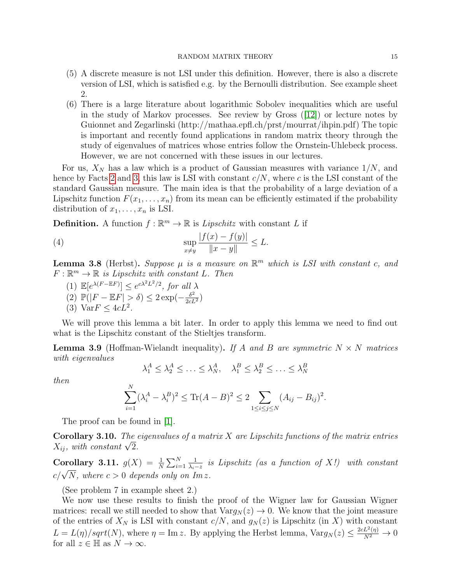#### RANDOM MATRIX THEORY 15

- (5) A discrete measure is not LSI under this definition. However, there is also a discrete version of LSI, which is satisfied e.g. by the Bernoulli distribution. See example sheet 2.
- (6) There is a large literature about logarithmic Sobolev inequalities which are useful in the study of Markov processes. See review by Gross  $([12])$  $([12])$  $([12])$  or lecture notes by Guionnet and Zegarlinski (http://mathaa.epfl.ch/prst/mourrat/ihpin.pdf) The topic is important and recently found applications in random matrix theory through the study of eigenvalues of matrices whose entries follow the Ornstein-Uhlebeck process. However, we are not concerned with these issues in our lectures.

For us,  $X_N$  has a law which is a product of Gaussian measures with variance  $1/N$ , and hence by Facts [2](#page-13-0) and [3,](#page-13-1) this law is LSI with constant  $c/N$ , where c is the LSI constant of the standard Gaussian measure. The main idea is that the probability of a large deviation of a Lipschitz function  $F(x_1, \ldots, x_n)$  from its mean can be efficiently estimated if the probability distribution of  $x_1, \ldots, x_n$  is LSI.

**Definition.** A function  $f : \mathbb{R}^m \to \mathbb{R}$  is *Lipschitz* with constant L if

(4) 
$$
\sup_{x \neq y} \frac{|f(x) - f(y)|}{\|x - y\|} \leq L.
$$

<span id="page-14-0"></span>**Lemma 3.8** (Herbst). Suppose  $\mu$  is a measure on  $\mathbb{R}^m$  which is LSI with constant c, and  $F: \mathbb{R}^m \to \mathbb{R}$  is Lipschitz with constant L. Then

(1)  $\mathbb{E}[e^{\lambda(F - \mathbb{E}F)}] \leq e^{c\lambda^2 L^2/2}$ , for all  $\lambda$ (2)  $\mathbb{P}(|F - \mathbb{E} F| > \delta) \leq 2 \exp(-\frac{\delta^2}{2cL^2})$ (3)  $\text{Var} F \leq 4cL^2$ .

We will prove this lemma a bit later. In order to apply this lemma we need to find out what is the Lipschitz constant of the Stieltjes transform.

<span id="page-14-1"></span>**Lemma 3.9** (Hoffman-Wielandt inequality). If A and B are symmetric  $N \times N$  matrices with eigenvalues

$$
\lambda_1^A \le \lambda_2^A \le \ldots \le \lambda_N^A, \quad \lambda_1^B \le \lambda_2^B \le \ldots \le \lambda_N^B
$$

then

$$
\sum_{i=1}^{N} (\lambda_i^A - \lambda_i^B)^2 \le \text{Tr}(A - B)^2 \le 2 \sum_{1 \le i \le j \le N} (A_{ij} - B_{ij})^2.
$$

The proof can be found in [\[1\]](#page-34-0).

**Corollary 3.10.** The eigenvalues of a matrix X are Lipschitz functions of the matrix entries Corollary 3.10. The  $X_{ij}$ , with constant  $\sqrt{2}$ .

Corollary 3.11.  $g(X) = \frac{1}{N} \sum_{i=1}^{N}$ 1  $\frac{1}{\lambda_i-z}$  is Lipschitz (as a function of X!) with constant coronary **c.m.**  $g(x) = N \sum_{i=1}^{N} \lambda_i - z^{-i}$ <br>c/ $\sqrt{N}$ , where  $c > 0$  depends only on Im z.

(See problem 7 in example sheet 2.)

We now use these results to finish the proof of the Wigner law for Gaussian Wigner matrices: recall we still needed to show that  $\text{Var} g_N(z) \to 0$ . We know that the joint measure of the entries of  $X_N$  is LSI with constant  $c/N$ , and  $g_N(z)$  is Lipschitz (in X) with constant  $L = L(\eta)/sqrt(N)$ , where  $\eta = \text{Im } z$ . By applying the Herbst lemma,  $\text{Var} g_N(z) \leq \frac{2cL^2(\eta)}{N^2} \to 0$ for all  $z \in \mathbb{H}$  as  $N \to \infty$ .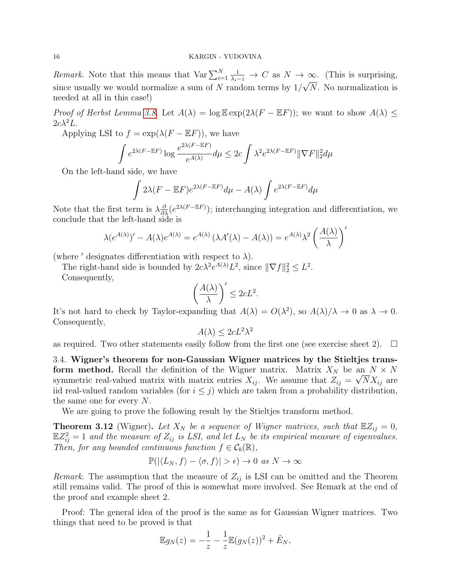Remark. Note that this means that  $\text{Var}\sum_{i=1}^{N}$  $\frac{1}{\lambda_i - z} \to C$  as  $N \to \infty$ . (This is surprising, since usually we would normalize a sum of N random terms by  $1/\sqrt{N}$ . No normalization is needed at all in this case!)

*Proof of Herbst Lemma [3.8.](#page-14-0)* Let  $A(\lambda) = \log \mathbb{E} \exp(2\lambda(F - \mathbb{E} F))$ ; we want to show  $A(\lambda) \leq$  $2c\lambda^2L$ .

Applying LSI to  $f = \exp(\lambda (F - \mathbb{E} F))$ , we have

$$
\int e^{2\lambda(F - \mathbb{E}F)} \log \frac{e^{2\lambda(F - \mathbb{E}F)}}{e^{A(\lambda)}} d\mu \le 2c \int \lambda^2 e^{2\lambda(F - \mathbb{E}F)} ||\nabla F||_2^2 d\mu
$$

On the left-hand side, we have

$$
\int 2\lambda (F - \mathbb{E}F)e^{2\lambda (F - \mathbb{E}F)} d\mu - A(\lambda) \int e^{2\lambda (F - \mathbb{E}F)} d\mu
$$

Note that the first term is  $\lambda \frac{\partial}{\partial \lambda} (e^{2\lambda(F - \mathbb{E}F)})$ ; interchanging integration and differentiation, we conclude that the left-hand side is

$$
\lambda(e^{A(\lambda)})' - A(\lambda)e^{A(\lambda)} = e^{A(\lambda)}(\lambda A'(\lambda) - A(\lambda)) = e^{A(\lambda)}\lambda^2 \left(\frac{A(\lambda)}{\lambda}\right)'
$$

(where ' designates differentiation with respect to  $\lambda$ ).

The right-hand side is bounded by  $2c\lambda^2 e^{A(\lambda)} L^2$ , since  $\|\nabla f\|_2^2 \leq L^2$ .

Consequently,

$$
\left(\frac{A(\lambda)}{\lambda}\right)' \le 2cL^2.
$$

It's not hard to check by Taylor-expanding that  $A(\lambda) = O(\lambda^2)$ , so  $A(\lambda)/\lambda \to 0$  as  $\lambda \to 0$ . Consequently,

$$
A(\lambda) \le 2cL^2\lambda^2
$$

as required. Two other statements easily follow from the first one (see exercise sheet 2).  $\Box$ 

3.4. Wigner's theorem for non-Gaussian Wigner matrices by the Stieltjes transform method. Recall the definition of the Wigner matrix. Matrix  $X_N$  be an  $N \times N$ symmetric real-valued matrix with matrix entries  $X_{ij}$ . We assume that  $Z_{ij} = \sqrt{N}X_{ij}$  are iid real-valued random variables (for  $i \leq j$ ) which are taken from a probability distribution, the same one for every N.

We are going to prove the following result by the Stieltjes transform method.

**Theorem 3.12** (Wigner). Let  $X_N$  be a sequence of Wigner matrices, such that  $\mathbb{E}Z_{ij} = 0$ ,  $\mathbb{E}Z_{ij}^2=1$  and the measure of  $Z_{ij}$  is LSI, and let  $L_N$  be its empirical measure of eigenvalues. Then, for any bounded continuous function  $f \in C_b(\mathbb{R}),$ 

$$
\mathbb{P}(|\langle L_N, f \rangle - \langle \sigma, f \rangle| > \epsilon) \to 0 \text{ as } N \to \infty
$$

Remark. The assumption that the measure of  $Z_{ij}$  is LSI can be omitted and the Theorem still remains valid. The proof of this is somewhat more involved. See Remark at the end of the proof and example sheet 2.

Proof: The general idea of the proof is the same as for Gaussian Wigner matrices. Two things that need to be proved is that

$$
\mathbb{E}g_N(z) = -\frac{1}{z} - \frac{1}{z}\mathbb{E}(g_N(z))^2 + \tilde{E}_N,
$$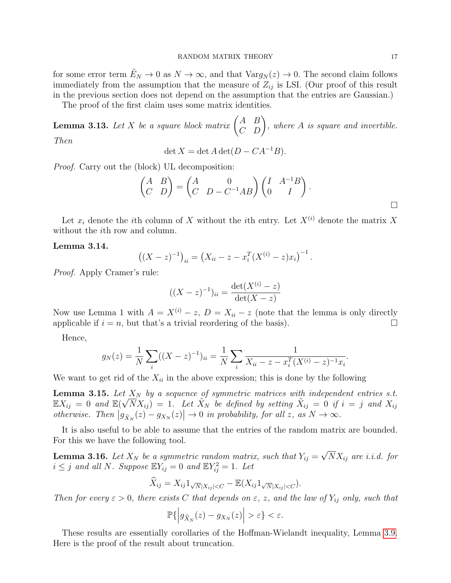for some error term  $E_N \to 0$  as  $N \to \infty$ , and that  $\text{Var} g_N(z) \to 0$ . The second claim follows immediately from the assumption that the measure of  $Z_{ii}$  is LSI. (Our proof of this result in the previous section does not depend on the assumption that the entries are Gaussian.)

The proof of the first claim uses some matrix identities.

**Lemma 3.13.** Let X be a square block matrix  $\begin{pmatrix} A & B \\ C & D \end{pmatrix}$ , where A is square and invertible. Then

$$
\det X = \det A \det(D - CA^{-1}B).
$$

Proof. Carry out the (block) UL decomposition:

$$
\begin{pmatrix} A & B \\ C & D \end{pmatrix} = \begin{pmatrix} A & 0 \\ C & D - C^{-1}AB \end{pmatrix} \begin{pmatrix} I & A^{-1}B \\ 0 & I \end{pmatrix}.
$$

Let  $x_i$  denote the *i*th column of X without the *i*th entry. Let  $X^{(i)}$  denote the matrix X without the *i*<sup>th</sup> row and column.

#### Lemma 3.14.

$$
((X-z)^{-1})_{ii} = (X_{ii} - z - x_i^T (X^{(i)} - z)x_i)^{-1}.
$$

Proof. Apply Cramer's rule:

$$
((X-z)^{-1})_{ii} = \frac{\det(X^{(i)} - z)}{\det(X - z)}
$$

Now use Lemma 1 with  $A = X^{(i)} - z$ ,  $D = X_{ii} - z$  (note that the lemma is only directly applicable if  $i = n$ , but that's a trivial reordering of the basis).

Hence,

$$
g_N(z) = \frac{1}{N} \sum_i ((X - z)^{-1})_{ii} = \frac{1}{N} \sum_i \frac{1}{X_{ii} - z - x_i^T (X^{(i)} - z)^{-1} x_i}.
$$

We want to get rid of the  $X_{ii}$  in the above expression; this is done by the following

**Lemma 3.15.** Let  $X_N$  by a sequence of symmetric matrices with independent entries s.t.  $\mathbb{E} X_{ij} = 0$  and  $\mathbb{E}(\sqrt{N}X_{ij}) = 1$ . Let  $\tilde{X}_N$  be defined by setting  $\tilde{X}_{ij} = 0$  if  $i = j$  and  $X_{ij}$ otherwise. Then  $|g_{\tilde{X}_N}(z) - g_{X_N}(z)| \to 0$  in probability, for all z, as  $N \to \infty$ .

It is also useful to be able to assume that the entries of the random matrix are bounded. For this we have the following tool.

**Lemma 3.16.** Let  $X_N$  be a symmetric random matrix, such that  $Y_{ij} =$ √  $NX_{ij}$  are i.i.d. for  $i \leq j$  and all N. Suppose  $\mathbb{E}Y_{ij} = 0$  and  $\mathbb{E}Y_{ij}^2 = 1$ . Let

$$
\widehat{X}_{ij} = X_{ij} 1_{\sqrt{N}|X_{ij}|
$$

Then for every  $\varepsilon > 0$ , there exists C that depends on  $\varepsilon$ , z, and the law of  $Y_{ij}$  only, such that

$$
\mathbb{P}\{\left|g_{\widehat{X}_N}(z)-g_{X_N}(z)\right|>\varepsilon\}<\varepsilon.
$$

These results are essentially corollaries of the Hoffman-Wielandt inequality, Lemma [3.9.](#page-14-1) Here is the proof of the result about truncation.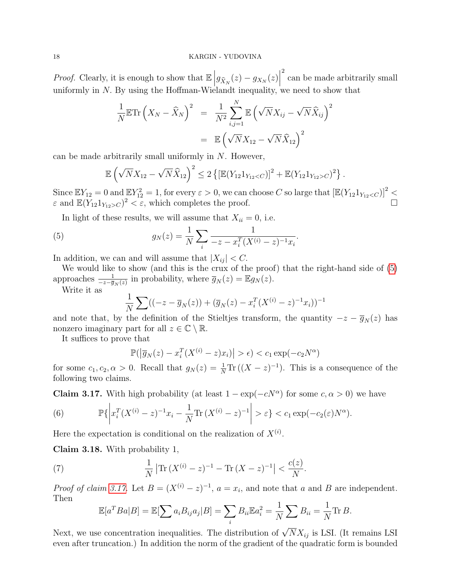*Proof.* Clearly, it is enough to show that  $\mathbb{E}\left|g_{\hat{X}_N}(z) - g_{X_N}(z)\right|$ 2 can be made arbitrarily small uniformly in N. By using the Hoffman-Wielandt inequality, we need to show that

$$
\frac{1}{N}\mathbb{E}\mathrm{Tr}\left(X_N-\widehat{X}_N\right)^2 = \frac{1}{N^2}\sum_{i,j=1}^N\mathbb{E}\left(\sqrt{N}X_{ij}-\sqrt{N}\widehat{X}_{ij}\right)^2
$$

$$
= \mathbb{E}\left(\sqrt{N}X_{12}-\sqrt{N}\widehat{X}_{12}\right)^2
$$

can be made arbitrarily small uniformly in  $N$ . However,

$$
\mathbb{E}\left(\sqrt{N}X_{12}-\sqrt{N}\widehat{X}_{12}\right)^2\leq 2\left\{\left[\mathbb{E}(Y_{12}1_{Y_{12}C})^2\right\}.
$$

Since  $\mathbb{E}Y_{12} = 0$  and  $\mathbb{E}Y_{12}^2 = 1$ , for every  $\varepsilon > 0$ , we can choose C so large that  $\left[\mathbb{E}(Y_{12}1_{Y_{12} < C})\right]^2 <$  $\varepsilon$  and  $\mathbb{E}(Y_{12}1_{Y_{12}>C})^2 < \varepsilon$ , which completes the proof.

.

In light of these results, we will assume that  $X_{ii} = 0$ , i.e.

(5) 
$$
g_N(z) = \frac{1}{N} \sum_i \frac{1}{-z - x_i^T (X^{(i)} - z)^{-1} x_i}
$$

In addition, we can and will assume that  $|X_{ij}| < C$ .

We would like to show (and this is the crux of the proof) that the right-hand side of [\(5\)](#page-17-0) approaches  $\frac{1}{-z-\overline{g}_N(z)}$  in probability, where  $\overline{g}_N(z) = \mathbb{E} g_N(z)$ .

Write it as

<span id="page-17-0"></span>
$$
\frac{1}{N} \sum ((-z - \overline{g}_N(z)) + (\overline{g}_N(z) - x_i^T (X^{(i)} - z)^{-1} x_i))^{-1}
$$

and note that, by the definition of the Stieltjes transform, the quantity  $-z - \overline{g}_N(z)$  has nonzero imaginary part for all  $z \in \mathbb{C} \setminus \mathbb{R}$ .

It suffices to prove that

$$
\mathbb{P}(|\overline{g}_N(z) - x_i^T(X^{(i)} - z)x_i)| > \epsilon) < c_1 \exp(-c_2 N^{\alpha})
$$

for some  $c_1, c_2, \alpha > 0$ . Recall that  $g_N(z) = \frac{1}{N} \text{Tr}((X - z)^{-1})$ . This is a consequence of the following two claims.

<span id="page-17-1"></span>**Claim 3.17.** With high probability (at least  $1 - \exp(-cN^{\alpha})$  for some  $c, \alpha > 0$ ) we have

(6) 
$$
\mathbb{P}\left\{ \left| x_i^T (X^{(i)} - z)^{-1} x_i - \frac{1}{N} \text{Tr} (X^{(i)} - z)^{-1} \right| > \varepsilon \right\} < c_1 \exp(-c_2(\varepsilon) N^{\alpha}).
$$

Here the expectation is conditional on the realization of  $X^{(i)}$ .

<span id="page-17-2"></span>Claim 3.18. With probability 1,

(7) 
$$
\frac{1}{N} \left| \text{Tr} \left( X^{(i)} - z \right)^{-1} - \text{Tr} \left( X - z \right)^{-1} \right| < \frac{c(z)}{N}.
$$

*Proof of claim 3.17*. Let  $B = (X^{(i)} - z)^{-1}$ ,  $a = x_i$ , and note that a and B are independent. Then

$$
\mathbb{E}[a^T Ba|B] = \mathbb{E}[\sum a_i B_{ij} a_j |B] = \sum_i B_{ii} \mathbb{E}a_i^2 = \frac{1}{N} \sum B_{ii} = \frac{1}{N} \text{Tr } B.
$$

Next, we use concentration inequalities. The distribution of  $\sqrt{N}X_{ij}$  is LSI. (It remains LSI even after truncation.) In addition the norm of the gradient of the quadratic form is bounded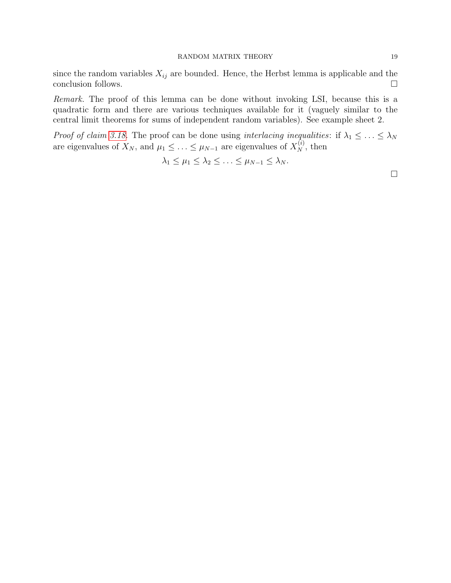#### RANDOM MATRIX THEORY 19

since the random variables  $X_{ij}$  are bounded. Hence, the Herbst lemma is applicable and the conclusion follows.

Remark. The proof of this lemma can be done without invoking LSI, because this is a quadratic form and there are various techniques available for it (vaguely similar to the central limit theorems for sums of independent random variables). See example sheet 2.

*Proof of claim [3.18.](#page-17-2)* The proof can be done using *interlacing inequalities*: if  $\lambda_1 \leq \ldots \leq \lambda_N$ are eigenvalues of  $X_N$ , and  $\mu_1 \leq \ldots \leq \mu_{N-1}$  are eigenvalues of  $X_N^{(i)}$ , then

$$
\lambda_1 \leq \mu_1 \leq \lambda_2 \leq \ldots \leq \mu_{N-1} \leq \lambda_N.
$$

 $\hfill \square$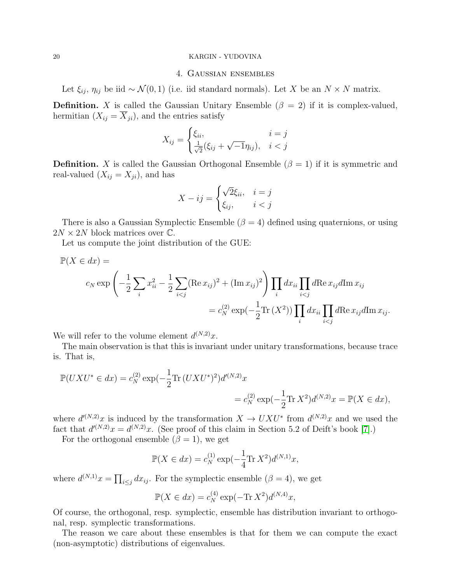## 4. Gaussian ensembles

Let  $\xi_{ij}$ ,  $\eta_{ij}$  be iid ∼  $\mathcal{N}(0,1)$  (i.e. iid standard normals). Let X be an  $N \times N$  matrix.

**Definition.** X is called the Gaussian Unitary Ensemble ( $\beta = 2$ ) if it is complex-valued, hermitian  $(X_{ij} = \overline{X}_{ji})$ , and the entries satisfy

$$
X_{ij} = \begin{cases} \xi_{ii}, & i = j \\ \frac{1}{\sqrt{2}}(\xi_{ij} + \sqrt{-1}\eta_{ij}), & i < j \end{cases}
$$

**Definition.** X is called the Gaussian Orthogonal Ensemble  $(\beta = 1)$  if it is symmetric and real-valued  $(X_{ij} = X_{ji})$ , and has

$$
X - ij = \begin{cases} \sqrt{2}\xi_{ii}, & i = j \\ \xi_{ij}, & i < j \end{cases}
$$

There is also a Gaussian Symplectic Ensemble  $(\beta = 4)$  defined using quaternions, or using  $2N \times 2N$  block matrices over  $\mathbb{C}$ .

Let us compute the joint distribution of the GUE:

$$
\mathbb{P}(X \in dx) =
$$
\n
$$
c_N \exp\left(-\frac{1}{2}\sum_i x_{ii}^2 - \frac{1}{2}\sum_{i < j} (\text{Re } x_{ij})^2 + (\text{Im } x_{ij})^2\right) \prod_i dx_{ii} \prod_{i < j} d\text{Re } x_{ij} d\text{Im } x_{ij}
$$
\n
$$
= c_N^{(2)} \exp(-\frac{1}{2}\text{Tr}(X^2)) \prod_i dx_{ii} \prod_{i < j} d\text{Re } x_{ij} d\text{Im } x_{ij}.
$$

We will refer to the volume element  $d^{(N,2)}x$ .

The main observation is that this is invariant under unitary transformations, because trace is. That is,

$$
\mathbb{P}(UXU^* \in dx) = c_N^{(2)} \exp(-\frac{1}{2} \text{Tr}(UXU^*)^2) d^{(N,2)}x
$$
  
=  $c_N^{(2)} \exp(-\frac{1}{2} \text{Tr} X^2) d^{(N,2)}x = \mathbb{P}(X \in dx),$ 

where  $d^{(N,2)}x$  is induced by the transformation  $X \to UXU^*$  from  $d^{(N,2)}x$  and we used the fact that  $d^{(N,2)}x = d^{(N,2)}x$ . (See proof of this claim in Section 5.2 of Deift's book [\[7\]](#page-35-6).)

For the orthogonal ensemble  $(\beta = 1)$ , we get

$$
\mathbb{P}(X \in dx) = c_N^{(1)} \exp(-\frac{1}{4} \text{Tr} X^2) d^{(N,1)} x,
$$

where  $d^{(N,1)}x = \prod_{i \leq j} dx_{ij}$ . For the symplectic ensemble  $(\beta = 4)$ , we get

$$
\mathbb{P}(X \in dx) = c_N^{(4)} \exp(-\text{Tr} X^2) d^{(N,4)}x,
$$

Of course, the orthogonal, resp. symplectic, ensemble has distribution invariant to orthogonal, resp. symplectic transformations.

The reason we care about these ensembles is that for them we can compute the exact (non-asymptotic) distributions of eigenvalues.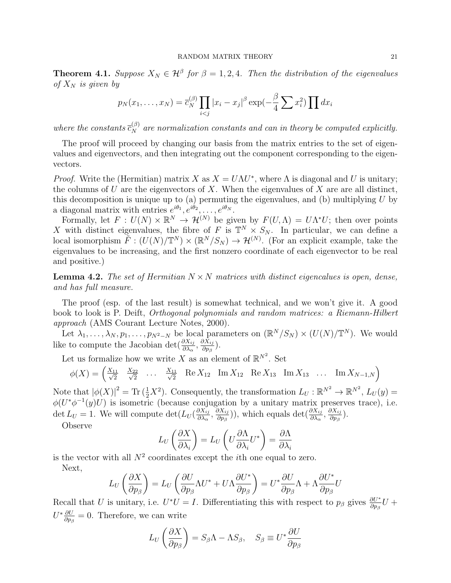**Theorem 4.1.** Suppose  $X_N \in \mathcal{H}^{\beta}$  for  $\beta = 1, 2, 4$ . Then the distribution of the eigenvalues of  $X_N$  is given by

$$
p_N(x_1,\ldots,x_N)=\overline{c}_N^{(\beta)}\prod_{i
$$

where the constants  $\bar{c}_N^{(\beta)}$  are normalization constants and can in theory be computed explicitly.

The proof will proceed by changing our basis from the matrix entries to the set of eigenvalues and eigenvectors, and then integrating out the component corresponding to the eigenvectors.

*Proof.* Write the (Hermitian) matrix X as  $X = U\Lambda U^*$ , where  $\Lambda$  is diagonal and U is unitary; the columns of U are the eigenvectors of X. When the eigenvalues of X are are all distinct, this decomposition is unique up to (a) permuting the eigenvalues, and (b) multiplying  $U$  by a diagonal matrix with entries  $e^{i\theta_1}, e^{i\theta_2}, \dots, e^{i\theta_N}$ .

Formally, let  $F: U(N) \times \mathbb{R}^N \to \mathcal{H}^{(N)}$  be given by  $F(U,\Lambda) = U\Lambda^*U$ ; then over points X with distinct eigenvalues, the fibre of F is  $\mathbb{T}^N \times S_N$ . In particular, we can define a local isomorphism  $\tilde{F} : (U(N)/\mathbb{T}^N) \times (\mathbb{R}^N/S_N) \to \mathcal{H}^{(N)}$ . (For an explicit example, take the eigenvalues to be increasing, and the first nonzero coordinate of each eigenvector to be real and positive.)

**Lemma 4.2.** The set of Hermitian  $N \times N$  matrices with distinct eigencalues is open, dense, and has full measure.

The proof (esp. of the last result) is somewhat technical, and we won't give it. A good book to look is P. Deift, *Orthogonal polynomials and random matrices: a Riemann-Hilbert* approach (AMS Courant Lecture Notes, 2000).

Let  $\lambda_1, \ldots, \lambda_N, p_1, \ldots, p_{N^2-N}$  be local parameters on  $(\mathbb{R}^N/S_N) \times (U(N)/\mathbb{T}^N)$ . We would like to compute the Jacobian det $\left(\frac{\partial X_{ij}}{\partial \lambda_\alpha}, \frac{\partial X_{ij}}{\partial p_\beta}\right)$  $\frac{\partial \Lambda_{ij}}{\partial p_\beta}\big).$ 

Let us formalize how we write X as an element of  $\mathbb{R}^{N^2}$ . Set

$$
\phi(X) = \begin{pmatrix} \frac{X_{11}}{\sqrt{2}} & \frac{X_{22}}{\sqrt{2}} & \dots & \frac{X_{11}}{\sqrt{2}} & \text{Re}\,X_{12} & \text{Im}\,X_{12} & \text{Re}\,X_{13} & \text{Im}\,X_{13} & \dots & \text{Im}\,X_{N-1,N} \end{pmatrix}
$$

Note that  $|\phi(X)|^2 = \text{Tr}(\frac{1}{2}X^2)$ . Consequently, the transformation  $L_U : \mathbb{R}^{N^2} \to \mathbb{R}^{N^2}$ ,  $L_U(y) =$  $\phi(U^*\phi^{-1}(y)U)$  is isometric (because conjugation by a unitary matrix preserves trace), i.e. det  $L_U = 1$ . We will compute  $\det(L_U(\frac{\partial X_{ij}}{\partial \lambda_0}))$  $\frac{\partial X_{ij}}{\partial \lambda_\alpha}, \frac{\partial X_{ij}}{\partial p_\beta}$  $(\frac{\partial X_{ij}}{\partial p_\beta}))$ , which equals det $(\frac{\partial X_{ij}}{\partial \lambda_\alpha}, \frac{\partial X_{ij}}{\partial p_\beta})$  $\frac{\partial \Lambda_{ij}}{\partial p_\beta}\big).$ 

Observe

$$
L_U\left(\frac{\partial X}{\partial \lambda_i}\right) = L_U\left(U\frac{\partial \Lambda}{\partial \lambda_i}U^*\right) = \frac{\partial \Lambda}{\partial \lambda_i}
$$

is the vector with all  $N^2$  coordinates except the *i*th one equal to zero. Next,

$$
L_U\left(\frac{\partial X}{\partial p_\beta}\right) = L_U\left(\frac{\partial U}{\partial p_\beta}\Lambda U^* + U\Lambda \frac{\partial U^*}{\partial p_\beta}\right) = U^*\frac{\partial U}{\partial p_\beta}\Lambda + \Lambda \frac{\partial U^*}{\partial p_\beta}U
$$

Recall that U is unitary, i.e.  $U^*U = I$ . Differentiating this with respect to  $p_\beta$  gives  $\frac{\partial U^*}{\partial p_\beta}U$  +  $U^*\frac{\partial U}{\partial n}$  $\frac{\partial U}{\partial p_{\beta}}=0$ . Therefore, we can write

$$
L_U \left( \frac{\partial X}{\partial p_\beta} \right) = S_\beta \Lambda - \Lambda S_\beta, \quad S_\beta \equiv U^* \frac{\partial U}{\partial p_\beta}
$$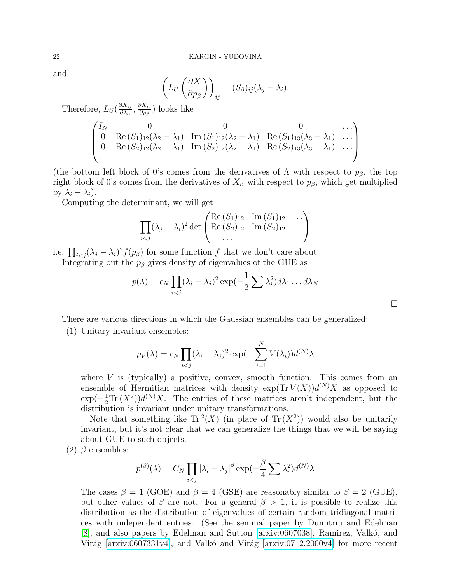and

$$
\left(L_U\left(\frac{\partial X}{\partial p_\beta}\right)\right)_{ij} = (S_\beta)_{ij}(\lambda_j - \lambda_i).
$$

Therefore,  $L_U(\frac{\partial X_{ij}}{\partial \lambda_{\alpha}})$  $\frac{\partial X_{ij}}{\partial \lambda_\alpha}, \frac{\partial X_{ij}}{\partial p_\beta}$  $\frac{\partial X_{ij}}{\partial p_{\beta}}$ ) looks like

$$
\begin{pmatrix}\nI_N & 0 & 0 & 0 & \cdots \\
0 & \text{Re}(S_1)_{12}(\lambda_2 - \lambda_1) & \text{Im}(S_1)_{12}(\lambda_2 - \lambda_1) & \text{Re}(S_1)_{13}(\lambda_3 - \lambda_1) & \cdots \\
0 & \text{Re}(S_2)_{12}(\lambda_2 - \lambda_1) & \text{Im}(S_2)_{12}(\lambda_2 - \lambda_1) & \text{Re}(S_2)_{13}(\lambda_3 - \lambda_1) & \cdots \\
\cdots\n\end{pmatrix}
$$

(the bottom left block of 0's comes from the derivatives of  $\Lambda$  with respect to  $p_{\beta}$ , the top right block of 0's comes from the derivatives of  $X_{ii}$  with respect to  $p_{\beta}$ , which get multiplied by  $\lambda_i - \lambda_i$ ).

Computing the determinant, we will get

$$
\prod_{i < j} (\lambda_j - \lambda_i)^2 \det \begin{pmatrix} \text{Re}\,(S_1)_{12} & \text{Im}\,(S_1)_{12} & \dots \\ \text{Re}\,(S_2)_{12} & \text{Im}\,(S_2)_{12} & \dots \\ \dots \end{pmatrix}
$$

i.e.  $\prod_{i < j} (\lambda_j - \lambda_i)^2 f(p_\beta)$  for some function f that we don't care about. Integrating out the  $p<sub>\beta</sub>$  gives density of eigenvalues of the GUE as

$$
p(\lambda) = c_N \prod_{i < j} (\lambda_i - \lambda_j)^2 \exp\left(-\frac{1}{2} \sum \lambda_i^2\right) d\lambda_1 \dots d\lambda_N
$$

There are various directions in which the Gaussian ensembles can be generalized:

(1) Unitary invariant ensembles:

$$
p_V(\lambda) = c_N \prod_{i < j} (\lambda_i - \lambda_j)^2 \exp\left(-\sum_{i=1}^N V(\lambda_i)\right) d^{(N)}\lambda
$$

where  $V$  is (typically) a positive, convex, smooth function. This comes from an ensemble of Hermitian matrices with density  $\exp(\text{Tr } V(X))d^{(N)}X$  as opposed to  $\exp(-\frac{1}{2}\text{Tr}(X^2))d^{(N)}X$ . The entries of these matrices aren't independent, but the distribution is invariant under unitary transformations.

Note that something like  $\text{Tr}^2(X)$  (in place of  $\text{Tr}(X^2)$ ) would also be unitarily invariant, but it's not clear that we can generalize the things that we will be saying about GUE to such objects.

(2)  $\beta$  ensembles:

$$
p^{(\beta)}(\lambda) = C_N \prod_{i < j} |\lambda_i - \lambda_j|^\beta \exp(-\frac{\beta}{4} \sum \lambda_i^2) d^{(N)}\lambda
$$

The cases  $\beta = 1$  (GOE) and  $\beta = 4$  (GSE) are reasonably similar to  $\beta = 2$  (GUE), but other values of  $\beta$  are not. For a general  $\beta > 1$ , it is possible to realize this distribution as the distribution of eigenvalues of certain random tridiagonal matrices with independent entries. (See the seminal paper by Dumitriu and Edelman [\[8\]](#page-35-7), and also papers by Edelman and Sutton [\[arxiv:0607038\]](http://arxiv.org/abs/math-ph/0607038), Ramirez, Valkó, and Virág [\[arxiv:0607331v4\]](http://arxiv.org/abs/math/0607331v4), and Valkó and Virág [\[arxiv:0712.2000v4\]](http://arxiv.org/abs/0712.2000v4) for more recent

 $\Box$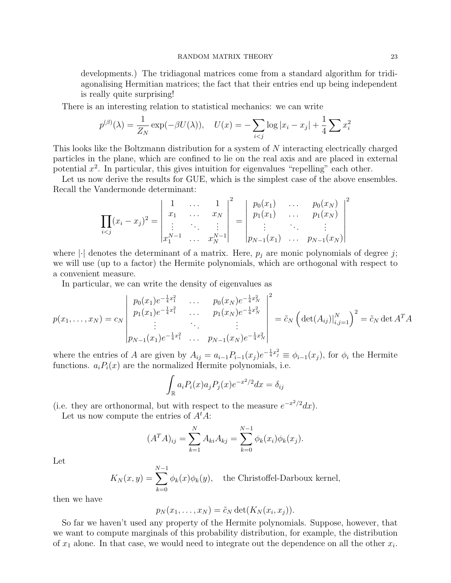developments.) The tridiagonal matrices come from a standard algorithm for tridiagonalising Hermitian matrices; the fact that their entries end up being independent is really quite surprising!

There is an interesting relation to statistical mechanics: we can write

$$
p^{(\beta)}(\lambda) = \frac{1}{Z_N} \exp(-\beta U(\lambda)), \quad U(x) = -\sum_{i < j} \log |x_i - x_j| + \frac{1}{4} \sum_{i} x_i^2
$$

This looks like the Boltzmann distribution for a system of N interacting electrically charged particles in the plane, which are confined to lie on the real axis and are placed in external potential  $x^2$ . In particular, this gives intuition for eigenvalues "repelling" each other.

Let us now derive the results for GUE, which is the simplest case of the above ensembles. Recall the Vandermonde determinant:

$$
\prod_{i < j} (x_i - x_j)^2 = \begin{vmatrix} 1 & \dots & 1 \\ x_1 & \dots & x_N \\ \vdots & \ddots & \vdots \\ x_1^{N-1} & \dots & x_N^{N-1} \end{vmatrix}^2 = \begin{vmatrix} p_0(x_1) & \dots & p_0(x_N) \\ p_1(x_1) & \dots & p_1(x_N) \\ \vdots & \ddots & \vdots \\ p_{N-1}(x_1) & \dots & p_{N-1}(x_N) \end{vmatrix}^2
$$

where  $|\cdot|$  denotes the determinant of a matrix. Here,  $p_i$  are monic polynomials of degree j; we will use (up to a factor) the Hermite polynomials, which are orthogonal with respect to a convenient measure.

In particular, we can write the density of eigenvalues as

$$
p(x_1, ..., x_N) = c_N \begin{vmatrix} p_0(x_1)e^{-\frac{1}{4}x_1^2} & \cdots & p_0(x_N)e^{-\frac{1}{4}x_N^2} \\ p_1(x_1)e^{-\frac{1}{4}x_1^2} & \cdots & p_1(x_N)e^{-\frac{1}{4}x_N^2} \\ \vdots & \ddots & \vdots \\ p_{N-1}(x_1)e^{-\frac{1}{4}x_1^2} & \cdots & p_{N-1}(x_N)e^{-\frac{1}{4}x_N^2} \end{vmatrix}^2 = \tilde{c}_N \left(\det(A_{ij})|_{i,j=1}^N\right)^2 = \tilde{c}_N \det A^T A
$$

where the entries of A are given by  $A_{ij} = a_{i-1} P_{i-1}(x_j) e^{-\frac{1}{4}x_j^2} \equiv \phi_{i-1}(x_j)$ , for  $\phi_i$  the Hermite functions.  $a_iP_i(x)$  are the normalized Hermite polynomials, i.e.

$$
\int_{\mathbb{R}} a_i P_i(x) a_j P_j(x) e^{-x^2/2} dx = \delta_{ij}
$$

(i.e. they are orthonormal, but with respect to the measure  $e^{-x^2/2}dx$ ).

Let us now compute the entries of  $A<sup>t</sup>A$ :

$$
(ATA)ij = \sum_{k=1}^{N} A_{ki} A_{kj} = \sum_{k=0}^{N-1} \phi_k(x_i) \phi_k(x_j).
$$

Let

$$
K_N(x, y) = \sum_{k=0}^{N-1} \phi_k(x)\phi_k(y),
$$
 the Christoffel-Darboux kernel,

then we have

$$
p_N(x_1,\ldots,x_N)=\tilde{c}_N\det(K_N(x_i,x_j)).
$$

So far we haven't used any property of the Hermite polynomials. Suppose, however, that we want to compute marginals of this probability distribution, for example, the distribution of  $x_1$  alone. In that case, we would need to integrate out the dependence on all the other  $x_i$ .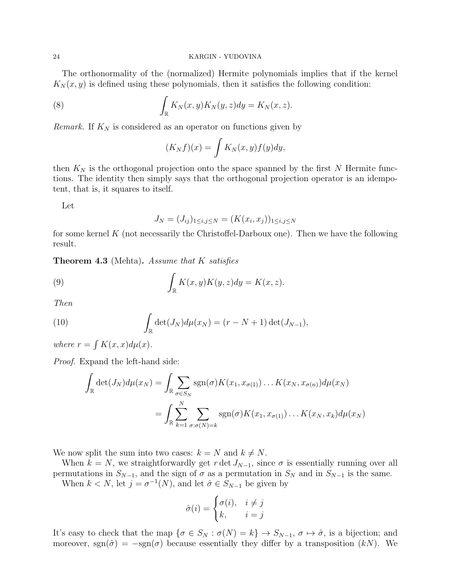The orthonormality of the (normalized) Hermite polynomials implies that if the kernel  $K_N(x, y)$  is defined using these polynomials, then it satisfies the following condition:

(8) 
$$
\int_{\mathbb{R}} K_N(x, y) K_N(y, z) dy = K_N(x, z).
$$

*Remark.* If  $K_N$  is considered as an operator on functions given by

$$
(K_N f)(x) = \int K_N(x, y) f(y) dy,
$$

then  $K_N$  is the orthogonal projection onto the space spanned by the first N Hermite functions. The identity then simply says that the orthogonal projection operator is an idempotent, that is, it squares to itself.

Let

<span id="page-23-0"></span>
$$
J_N = (J_{ij})_{1 \le i,j \le N} = (K(x_i, x_j))_{1 \le i,j \le N}
$$

for some kernel  $K$  (not necessarily the Christoffel-Darboux one). Then we have the following result.

**Theorem 4.3** (Mehta). Assume that K satisfies

(9) 
$$
\int_{\mathbb{R}} K(x,y)K(y,z)dy = K(x,z).
$$

Then

(10) 
$$
\int_{\mathbb{R}} \det(J_N) d\mu(x_N) = (r - N + 1) \det(J_{N-1}),
$$

where  $r = \int K(x, x) d\mu(x)$ .

Proof. Expand the left-hand side:

$$
\int_{\mathbb{R}} \det(J_N) d\mu(x_N) = \int_{\mathbb{R}} \sum_{\sigma \in S_N} \text{sgn}(\sigma) K(x_1, x_{\sigma(1)}) \dots K(x_N, x_{\sigma(n)}) d\mu(x_N)
$$
\n
$$
= \int_{\mathbb{R}} \sum_{k=1}^N \sum_{\sigma: \sigma(N)=k} \text{sgn}(\sigma) K(x_1, x_{\sigma(1)}) \dots K(x_N, x_k) d\mu(x_N)
$$

We now split the sum into two cases:  $k = N$  and  $k \neq N$ .

When  $k = N$ , we straightforwardly get r det  $J_{N-1}$ , since  $\sigma$  is essentially running over all permutations in  $S_{N-1}$ , and the sign of  $\sigma$  as a permutation in  $S_N$  and in  $S_{N-1}$  is the same.

When  $k < N$ , let  $j = \sigma^{-1}(N)$ , and let  $\hat{\sigma} \in S_{N-1}$  be given by

$$
\hat{\sigma}(i) = \begin{cases} \sigma(i), & i \neq j \\ k, & i = j \end{cases}
$$

It's easy to check that the map  $\{\sigma \in S_N : \sigma(N) = k\} \to S_{N-1}, \sigma \mapsto \hat{\sigma}$ , is a bijection; and moreover, sgn( $\hat{\sigma}$ ) =  $-\text{sgn}(\sigma)$  because essentially they differ by a transposition (kN). We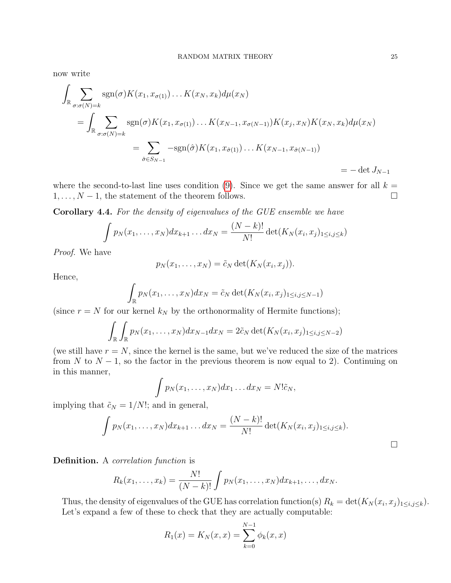now write

$$
\int_{\mathbb{R}} \sum_{\sigma: \sigma(N)=k} \text{sgn}(\sigma) K(x_1, x_{\sigma(1)}) \dots K(x_N, x_k) d\mu(x_N)
$$
\n
$$
= \int_{\mathbb{R}} \sum_{\sigma: \sigma(N)=k} \text{sgn}(\sigma) K(x_1, x_{\sigma(1)}) \dots K(x_{N-1}, x_{\sigma(N-1)}) K(x_j, x_N) K(x_N, x_k) d\mu(x_N)
$$
\n
$$
= \sum_{\hat{\sigma} \in S_{N-1}} -\text{sgn}(\hat{\sigma}) K(x_1, x_{\hat{\sigma}(1)}) \dots K(x_{N-1}, x_{\hat{\sigma}(N-1)})
$$
\n
$$
= -\det J_{N-1}
$$

where the second-to-last line uses condition [\(9\)](#page-23-0). Since we get the same answer for all  $k =$  $1, \ldots, N-1$ , the statement of the theorem follows.  $\Box$ 

Corollary 4.4. For the density of eigenvalues of the GUE ensemble we have

$$
\int p_N(x_1, ..., x_N) dx_{k+1} ... dx_N = \frac{(N-k)!}{N!} \det(K_N(x_i, x_j)_{1 \le i, j \le k})
$$

Proof. We have

$$
p_N(x_1,\ldots,x_N)=\tilde{c}_N\det(K_N(x_i,x_j)).
$$

Hence,

$$
\int_{\mathbb{R}} p_N(x_1,\ldots,x_N) dx_N = \tilde{c}_N \det(K_N(x_i,x_j)_{1\leq i,j\leq N-1})
$$

(since  $r = N$  for our kernel  $k_N$  by the orthonormality of Hermite functions);

$$
\int_{\mathbb{R}} \int_{\mathbb{R}} p_N(x_1,\ldots,x_N) dx_{N-1} dx_N = 2\tilde{c}_N \det(K_N(x_i,x_j)_{1\leq i,j\leq N-2})
$$

(we still have  $r = N$ , since the kernel is the same, but we've reduced the size of the matrices from N to  $N-1$ , so the factor in the previous theorem is now equal to 2). Continuing on in this manner,

$$
\int p_N(x_1,\ldots,x_N)dx_1\ldots dx_N=N!\tilde{c}_N,
$$

implying that  $\tilde{c}_N = 1/N!$ ; and in general,

$$
\int p_N(x_1,\ldots,x_N)dx_{k+1}\ldots dx_N=\frac{(N-k)!}{N!}\det(K_N(x_i,x_j)_{1\leq i,j\leq k}).
$$

Definition. A correlation function is

$$
R_k(x_1,...,x_k) = \frac{N!}{(N-k)!} \int p_N(x_1,...,x_N) dx_{k+1},...,dx_N.
$$

Thus, the density of eigenvalues of the GUE has correlation function(s)  $R_k = \det(K_N(x_i, x_j)_{1 \leq i,j \leq k}).$ Let's expand a few of these to check that they are actually computable:

$$
R_1(x) = K_N(x, x) = \sum_{k=0}^{N-1} \phi_k(x, x)
$$

 $\Box$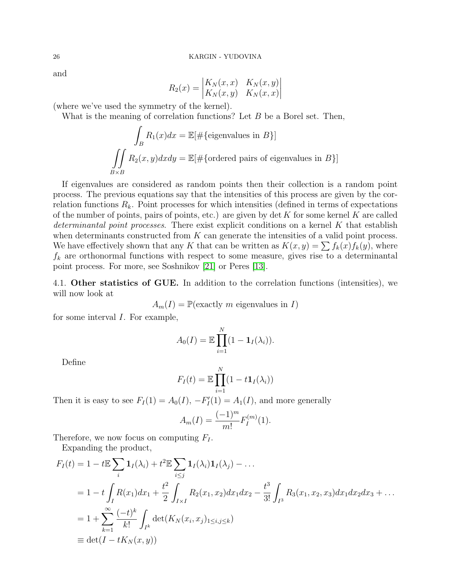and

$$
R_2(x) = \begin{vmatrix} K_N(x, x) & K_N(x, y) \\ K_N(x, y) & K_N(x, x) \end{vmatrix}
$$

(where we've used the symmetry of the kernel).

What is the meaning of correlation functions? Let  $B$  be a Borel set. Then,

$$
\int_{B} R_1(x)dx = \mathbb{E}[\#\{\text{eigenvalues in } B\}]
$$

$$
\iint_{B \times B} R_2(x, y)dx dy = \mathbb{E}[\#\{\text{ordered pairs of eigenvalues in } B\}]
$$

If eigenvalues are considered as random points then their collection is a random point process. The previous equations say that the intensities of this process are given by the correlation functions  $R_k$ . Point processes for which intensities (defined in terms of expectations of the number of points, pairs of points, etc.) are given by det  $K$  for some kernel  $K$  are called determinantal point processes. There exist explicit conditions on a kernel  $K$  that establish when determinants constructed from K can generate the intensities of a valid point process. We have effectively shown that any K that can be written as  $K(x, y) = \sum f_k(x) f_k(y)$ , where  $f_k$  are orthonormal functions with respect to some measure, gives rise to a determinantal point process. For more, see Soshnikov [\[21\]](#page-35-8) or Peres [\[13\]](#page-35-9).

4.1. Other statistics of GUE. In addition to the correlation functions (intensities), we will now look at

 $A_m(I) = \mathbb{P}(\text{exactly } m \text{ eigenvalues in } I)$ 

for some interval I. For example,

$$
A_0(I) = \mathbb{E}\prod_{i=1}^N(1-\mathbf{1}_I(\lambda_i)).
$$

Define

$$
F_I(t) = \mathbb{E}\prod_{i=1}^N(1 - t\mathbf{1}_I(\lambda_i))
$$

Then it is easy to see  $F_I(1) = A_0(I)$ ,  $-F_I'(1) = A_1(I)$ , and more generally

$$
A_m(I) = \frac{(-1)^m}{m!} F_I^{(m)}(1).
$$

Therefore, we now focus on computing  $F_I$ .

Expanding the product,

$$
F_I(t) = 1 - t \mathbb{E} \sum_i \mathbf{1}_I(\lambda_i) + t^2 \mathbb{E} \sum_{i \le j} \mathbf{1}_I(\lambda_i) \mathbf{1}_I(\lambda_j) - \dots
$$
  
\n
$$
= 1 - t \int_I R(x_1) dx_1 + \frac{t^2}{2} \int_{I \times I} R_2(x_1, x_2) dx_1 dx_2 - \frac{t^3}{3!} \int_{I^3} R_3(x_1, x_2, x_3) dx_1 dx_2 dx_3 + \dots
$$
  
\n
$$
= 1 + \sum_{k=1}^{\infty} \frac{(-t)^k}{k!} \int_{I^k} \det(K_N(x_i, x_j)_{1 \le i, j \le k})
$$
  
\n
$$
\equiv \det(I - tK_N(x, y))
$$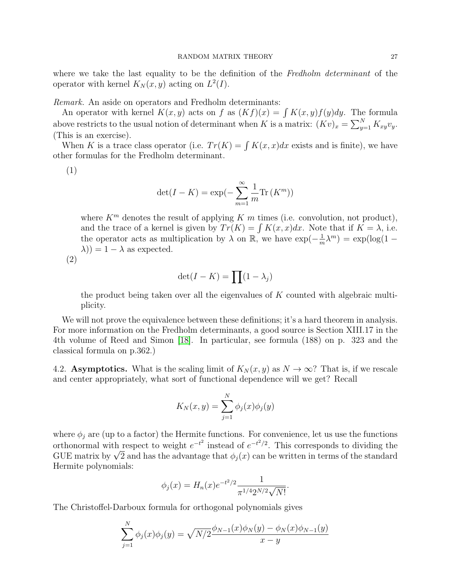where we take the last equality to be the definition of the Fredholm determinant of the operator with kernel  $K_N(x, y)$  acting on  $L^2(I)$ .

Remark. An aside on operators and Fredholm determinants:

An operator with kernel  $K(x, y)$  acts on f as  $(Kf)(x) = \int K(x, y)f(y)dy$ . The formula above restricts to the usual notion of determinant when K is a matrix:  $(Kv)_x = \sum_{y=1}^{N} K_{xy}v_y$ . (This is an exercise).

When K is a trace class operator (i.e.  $Tr(K) = \int K(x, x)dx$  exists and is finite), we have other formulas for the Fredholm determinant.

(1)

$$
\det(I - K) = \exp(-\sum_{m=1}^{\infty} \frac{1}{m} \text{Tr}(K^m))
$$

where  $K^m$  denotes the result of applying K m times (i.e. convolution, not product), and the trace of a kernel is given by  $Tr(K) = \int K(x, x)dx$ . Note that if  $K = \lambda$ , i.e. the operator acts as multiplication by  $\lambda$  on  $\mathbb{R}$ , we have  $\exp(-\frac{1}{n})$  $\frac{1}{m}\lambda^m$ ) = exp(log(1 –  $\lambda$ )) = 1 –  $\lambda$  as expected.

(2)

$$
\det(I - K) = \prod (1 - \lambda_j)
$$

the product being taken over all the eigenvalues of  $K$  counted with algebraic multiplicity.

We will not prove the equivalence between these definitions; it's a hard theorem in analysis. For more information on the Fredholm determinants, a good source is Section XIII.17 in the 4th volume of Reed and Simon [\[18\]](#page-35-10). In particular, see formula (188) on p. 323 and the classical formula on p.362.)

4.2. Asymptotics. What is the scaling limit of  $K_N(x, y)$  as  $N \to \infty$ ? That is, if we rescale and center appropriately, what sort of functional dependence will we get? Recall

$$
K_N(x, y) = \sum_{j=1}^N \phi_j(x)\phi_j(y)
$$

where  $\phi_i$  are (up to a factor) the Hermite functions. For convenience, let us use the functions orthonormal with respect to weight  $e^{-t^2}$  instead of  $e^{-t^2/2}$ . This corresponds to dividing the orthonormal with respect to weight  $e^{-\epsilon}$  instead of  $e^{-\epsilon/2}$ . This corresponds to dividing the GUE matrix by  $\sqrt{2}$  and has the advantage that  $\phi_j(x)$  can be written in terms of the standard Hermite polynomials:

$$
\phi_j(x) = H_n(x)e^{-t^2/2}\frac{1}{\pi^{1/4}2^{N/2}\sqrt{N!}}.
$$

The Christoffel-Darboux formula for orthogonal polynomials gives

N

$$
\sum_{j=1}^{N} \phi_j(x)\phi_j(y) = \sqrt{N/2} \frac{\phi_{N-1}(x)\phi_N(y) - \phi_N(x)\phi_{N-1}(y)}{x - y}
$$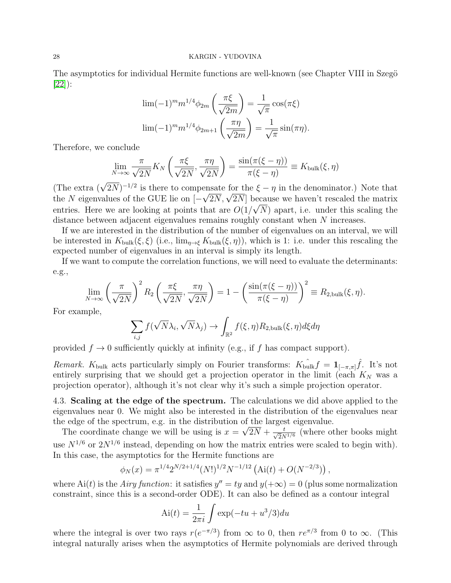The asymptotics for individual Hermite functions are well-known (see Chapter VIII in Szegö [\[22\]](#page-35-11)):

$$
\lim_{m}(-1)^{m} m^{1/4} \phi_{2m} \left( \frac{\pi \xi}{\sqrt{2m}} \right) = \frac{1}{\sqrt{\pi}} \cos(\pi \xi)
$$

$$
\lim_{m}(-1)^{m} m^{1/4} \phi_{2m+1} \left( \frac{\pi \eta}{\sqrt{2m}} \right) = \frac{1}{\sqrt{\pi}} \sin(\pi \eta).
$$

Therefore, we conclude

$$
\lim_{N \to \infty} \frac{\pi}{\sqrt{2N}} K_N \left( \frac{\pi \xi}{\sqrt{2N}}, \frac{\pi \eta}{\sqrt{2N}} \right) = \frac{\sin(\pi(\xi - \eta))}{\pi(\xi - \eta)} \equiv K_{\text{bulk}}(\xi, \eta)
$$

(The extra  $(\sqrt{2N})^{-1/2}$  is there to compensate for the  $\xi - \eta$  in the denominator.) Note that (The extra  $(\sqrt{2N})^{-1/2}$  is there to compensate for the  $\xi = \eta$  in the denominator.) Note that<br>the N eigenvalues of the GUE lie on  $[-\sqrt{2N}, \sqrt{2N}]$  because we haven't rescaled the matrix entries. Here we are looking at points that are  $O(1/\sqrt{N})$  apart, i.e. under this scaling the distance between adjacent eigenvalues remains roughly constant when N increases.

If we are interested in the distribution of the number of eigenvalues on an interval, we will be interested in  $K_{\text{bulk}}(\xi, \xi)$  (i.e.,  $\lim_{\eta \to \xi} K_{\text{bulk}}(\xi, \eta)$ ), which is 1: i.e. under this rescaling the expected number of eigenvalues in an interval is simply its length.

If we want to compute the correlation functions, we will need to evaluate the determinants: e.g.,

$$
\lim_{N \to \infty} \left( \frac{\pi}{\sqrt{2N}} \right)^2 R_2 \left( \frac{\pi \xi}{\sqrt{2N}}, \frac{\pi \eta}{\sqrt{2N}} \right) = 1 - \left( \frac{\sin(\pi(\xi - \eta))}{\pi(\xi - \eta)} \right)^2 \equiv R_{2,\text{bulk}}(\xi, \eta).
$$

For example,

$$
\sum_{i,j} f(\sqrt{N} \lambda_i, \sqrt{N} \lambda_j) \rightarrow \int_{\mathbb{R}^2} f(\xi, \eta) R_{2,\text{bulk}}(\xi, \eta) d\xi d\eta
$$

provided  $f \to 0$  sufficiently quickly at infinity (e.g., if f has compact support).

Remark. K<sub>bulk</sub> acts particularly simply on Fourier transforms:  $K_{\text{bulk}}^{\dagger} f = \mathbf{1}_{[-\pi,\pi]} \hat{f}$ . It's not entirely surprising that we should get a projection operator in the limit (each  $K_N$  was a projection operator), although it's not clear why it's such a simple projection operator.

4.3. Scaling at the edge of the spectrum. The calculations we did above applied to the eigenvalues near 0. We might also be interested in the distribution of the eigenvalues near the edge of the spectrum, e.g. in the distribution of the largest eigenvalue.

The coordinate change we will be using is  $x = \sqrt{2N} + \frac{t}{\sqrt{2N}}$  $\frac{t}{2N^{1/6}}$  (where other books might use  $N^{1/6}$  or  $2N^{1/6}$  instead, depending on how the matrix entries were scaled to begin with). In this case, the asymptotics for the Hermite functions are

$$
\phi_N(x) = \pi^{1/4} 2^{N/2 + 1/4} (N!)^{1/2} N^{-1/12} (\text{Ai}(t) + O(N^{-2/3})),
$$

where Ai(t) is the *Airy function*: it satisfies  $y'' = ty$  and  $y(+\infty) = 0$  (plus some normalization constraint, since this is a second-order ODE). It can also be defined as a contour integral

$$
Ai(t) = \frac{1}{2\pi i} \int \exp(-tu + u^3/3) du
$$

where the integral is over two rays  $r(e^{-\pi/3})$  from  $\infty$  to 0, then  $re^{\pi/3}$  from 0 to  $\infty$ . (This integral naturally arises when the asymptotics of Hermite polynomials are derived through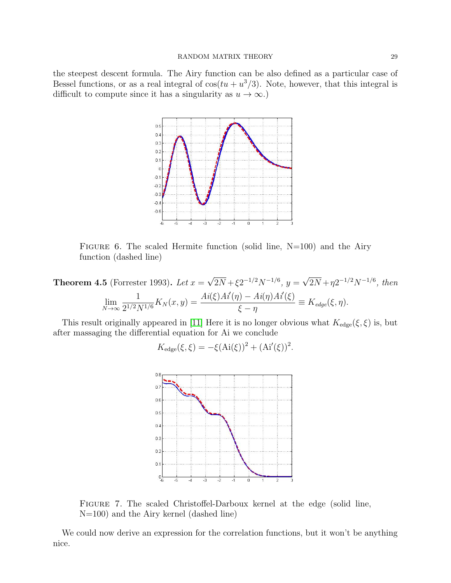### RANDOM MATRIX THEORY 29

the steepest descent formula. The Airy function can be also defined as a particular case of Bessel functions, or as a real integral of  $cos(tu + u^3/3)$ . Note, however, that this integral is difficult to compute since it has a singularity as  $u \to \infty$ .)



FIGURE 6. The scaled Hermite function (solid line,  $N=100$ ) and the Airy function (dashed line)

**Theorem 4.5** (Forrester 1993). Let  $x =$ √  $2N + \xi 2^{-1/2} N^{-1/6}, y =$ √  $2N + \eta 2^{-1/2} N^{-1/6}$ , then  $\lim_{N\to\infty}$ 1  $\frac{1}{2^{1/2}N^{1/6}}K_N(x,y) = \frac{Ai(\xi)Ai'(\eta) - Ai(\eta)Ai'(\xi)}{\xi - \eta}$  $\frac{\sum_{i=0}^{n} \sum_{j=1}^{n} f(s_i - s_j)}{\xi - \eta} \equiv K_{edge}(\xi, \eta).$ 

This result originally appeared in [\[11\]](#page-35-12) Here it is no longer obvious what  $K_{\text{edge}}(\xi, \xi)$  is, but after massaging the differential equation for Ai we conclude

$$
K_{\rm edge}(\xi, \xi) = -\xi (\rm Ai(\xi))^2 + (\rm Ai'(\xi))^2.
$$



Figure 7. The scaled Christoffel-Darboux kernel at the edge (solid line, N=100) and the Airy kernel (dashed line)

We could now derive an expression for the correlation functions, but it won't be anything nice.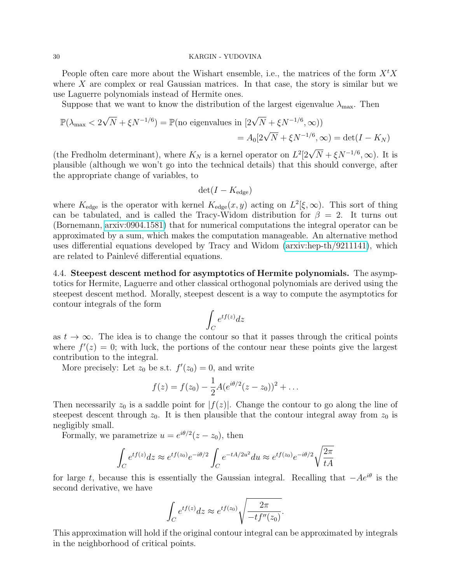People often care more about the Wishart ensemble, i.e., the matrices of the form  $X<sup>t</sup>X$ where  $X$  are complex or real Gaussian matrices. In that case, the story is similar but we use Laguerre polynomials instead of Hermite ones.

Suppose that we want to know the distribution of the largest eigenvalue  $\lambda_{\text{max}}$ . Then

$$
\mathbb{P}(\lambda_{\max} < 2\sqrt{N} + \xi N^{-1/6}) = \mathbb{P}(\text{no eigenvalues in } [2\sqrt{N} + \xi N^{-1/6}, \infty))
$$
\n
$$
= A_0[2\sqrt{N} + \xi N^{-1/6}, \infty) = \det(I - K_N)
$$

(the Fredholm determinant), where  $K_N$  is a kernel operator on  $L^2[2\sqrt{N} + \xi N^{-1/6}, \infty)$ . It is plausible (although we won't go into the technical details) that this should converge, after the appropriate change of variables, to

$$
\det(I - K_{\text{edge}})
$$

where  $K_{\text{edge}}$  is the operator with kernel  $K_{\text{edge}}(x, y)$  acting on  $L^2[\xi, \infty)$ . This sort of thing can be tabulated, and is called the Tracy-Widom distribution for  $\beta = 2$ . It turns out (Bornemann, [arxiv:0904.1581\)](http://arxiv.org/pdf/0904.1581v5.pdf) that for numerical computations the integral operator can be approximated by a sum, which makes the computation manageable. An alternative method uses differential equations developed by Tracy and Widom [\(arxiv:hep-th/9211141\)](http://arxiv.org/pdf/hep-th/9211141.pdf), which are related to Painlevé differential equations.

4.4. Steepest descent method for asymptotics of Hermite polynomials. The asymptotics for Hermite, Laguerre and other classical orthogonal polynomials are derived using the steepest descent method. Morally, steepest descent is a way to compute the asymptotics for contour integrals of the form

$$
\int_C e^{tf(z)}dz
$$

as  $t \to \infty$ . The idea is to change the contour so that it passes through the critical points where  $f'(z) = 0$ ; with luck, the portions of the contour near these points give the largest contribution to the integral.

More precisely: Let  $z_0$  be s.t.  $f'(z_0) = 0$ , and write

$$
f(z) = f(z_0) - \frac{1}{2}A(e^{i\theta/2}(z - z_0))^2 + \dots
$$

Then necessarily  $z_0$  is a saddle point for  $|f(z)|$ . Change the contour to go along the line of steepest descent through  $z_0$ . It is then plausible that the contour integral away from  $z_0$  is negligibly small.

Formally, we parametrize  $u = e^{i\theta/2}(z - z_0)$ , then

$$
\int_C e^{tf(z)}dz \approx e^{tf(z_0)}e^{-i\theta/2} \int_C e^{-tA/2u^2} du \approx e^{tf(z_0)}e^{-i\theta/2} \sqrt{\frac{2\pi}{tA}}
$$

for large t, because this is essentially the Gaussian integral. Recalling that  $-Ae^{i\theta}$  is the second derivative, we have

$$
\int_C e^{tf(z)}dz \approx e^{tf(z_0)} \sqrt{\frac{2\pi}{-tf''(z_0)}}.
$$

This approximation will hold if the original contour integral can be approximated by integrals in the neighborhood of critical points.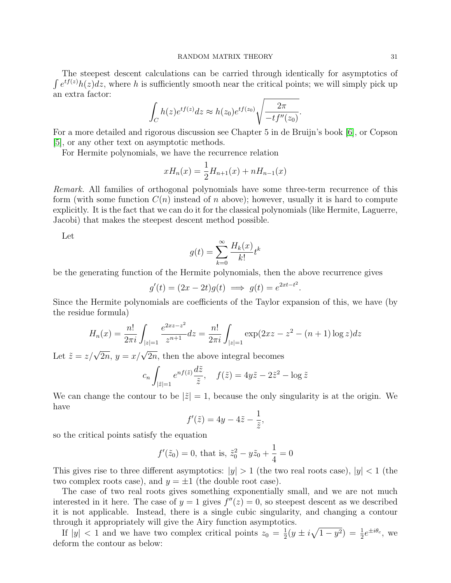The steepest descent calculations can be carried through identically for asymptotics of  $\int e^{tf(z)}h(z)dz$ , where h is sufficiently smooth near the critical points; we will simply pick up an extra factor:

$$
\int_C h(z)e^{tf(z)}dz \approx h(z_0)e^{tf(z_0)}\sqrt{\frac{2\pi}{-tf''(z_0)}}.
$$

For a more detailed and rigorous discussion see Chapter 5 in de Bruijn's book [\[6\]](#page-35-13), or Copson [\[5\]](#page-34-3), or any other text on asymptotic methods.

For Hermite polynomials, we have the recurrence relation

$$
xH_n(x) = \frac{1}{2}H_{n+1}(x) + nH_{n-1}(x)
$$

Remark. All families of orthogonal polynomials have some three-term recurrence of this form (with some function  $C(n)$  instead of n above); however, usually it is hard to compute explicitly. It is the fact that we can do it for the classical polynomials (like Hermite, Laguerre, Jacobi) that makes the steepest descent method possible.

Let

$$
g(t) = \sum_{k=0}^{\infty} \frac{H_k(x)}{k!} t^k
$$

be the generating function of the Hermite polynomials, then the above recurrence gives

$$
g'(t) = (2x - 2t)g(t) \implies g(t) = e^{2xt - t^2}.
$$

Since the Hermite polynomials are coefficients of the Taylor expansion of this, we have (by the residue formula)

$$
H_n(x) = \frac{n!}{2\pi i} \int_{|z|=1} \frac{e^{2xz - z^2}}{z^{n+1}} dz = \frac{n!}{2\pi i} \int_{|z|=1} \exp(2xz - z^2 - (n+1)\log z) dz
$$

Let  $\tilde{z} = z/\sqrt{2n}$ ,  $y = x/\sqrt{2n}$ , then the above integral becomes

$$
c_n \int_{|\tilde{z}|=1} e^{nf(\tilde{z})} \frac{d\tilde{z}}{\tilde{z}}, \quad f(\tilde{z}) = 4y\tilde{z} - 2\tilde{z}^2 - \log \tilde{z}
$$

We can change the contour to be  $|\tilde{z}| = 1$ , because the only singularity is at the origin. We have

$$
f'(\tilde{z}) = 4y - 4\tilde{z} - \frac{1}{\tilde{z}},
$$

so the critical points satisfy the equation

$$
f'(\tilde{z}_0) = 0
$$
, that is,  $\tilde{z}_0^2 - y\tilde{z}_0 + \frac{1}{4} = 0$ 

This gives rise to three different asymptotics:  $|y| > 1$  (the two real roots case),  $|y| < 1$  (the two complex roots case), and  $y = \pm 1$  (the double root case).

The case of two real roots gives something exponentially small, and we are not much interested in it here. The case of  $y = 1$  gives  $f''(z) = 0$ , so steepest descent as we described it is not applicable. Instead, there is a single cubic singularity, and changing a contour through it appropriately will give the Airy function asymptotics.

If  $|y| < 1$  and we have two complex critical points  $z_0 = \frac{1}{2}$  $\frac{1}{2}(y \pm i\sqrt{1-y^2}) = \frac{1}{2}e^{\pm i\theta_c}$ , we deform the contour as below: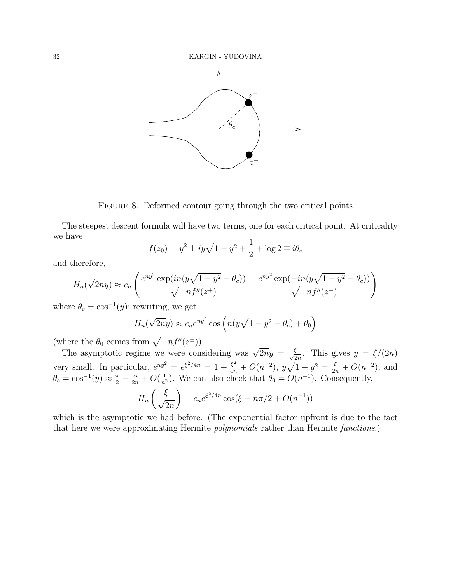

Figure 8. Deformed contour going through the two critical points

The steepest descent formula will have two terms, one for each critical point. At criticality we have

$$
f(z_0) = y^2 \pm iy\sqrt{1 - y^2} + \frac{1}{2} + \log 2 \mp i\theta_c
$$

and therefore,

$$
H_n(\sqrt{2n}y) \approx c_n \left( \frac{e^{ny^2} \exp(in(y\sqrt{1-y^2} - \theta_c))}{\sqrt{-n}f''(z^+)} + \frac{e^{ny^2} \exp(-in(y\sqrt{1-y^2} - \theta_c))}{\sqrt{-n}f''(z^-)} \right)
$$

where  $\theta_c = \cos^{-1}(y)$ ; rewriting, we get

$$
H_n(\sqrt{2n}y) \approx c_n e^{ny^2} \cos\left(n(y\sqrt{1-y^2} - \theta_c) + \theta_0\right)
$$

(where the  $\theta_0$  comes from  $\sqrt{-nf''(z^{\pm})}$ ).

The asymptotic regime we were considering was  $\sqrt{2n}y = \frac{\xi}{\sqrt{2n}}$ . This gives  $y = \xi/(2n)$ very small. In particular,  $e^{ny^2} = e^{\xi^2/4n} = 1 + \frac{\xi^2}{4n} + O(n^{-2}), y\sqrt{1-y^2} = \frac{\xi}{2n} + O(n^{-2}),$  and  $\theta_c = \cos^{-1}(y) \approx \frac{\pi}{2} - \frac{x i}{2n} + O(\frac{1}{n^2})$ . We can also check that  $\theta_0 = O(n^{-1})$ . Consequently,

$$
H_n\left(\frac{\xi}{\sqrt{2n}}\right) = c_n e^{\xi^2/4n} \cos(\xi - n\pi/2 + O(n^{-1}))
$$

which is the asymptotic we had before. (The exponential factor upfront is due to the fact that here we were approximating Hermite polynomials rather than Hermite functions.)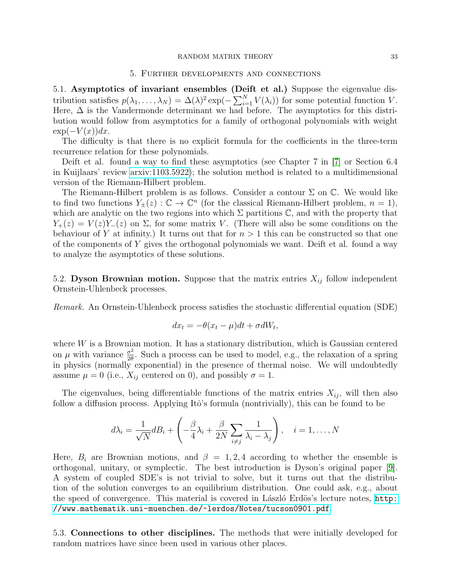#### RANDOM MATRIX THEORY 33

#### 5. Further developments and connections

5.1. Asymptotics of invariant ensembles (Deift et al.) Suppose the eigenvalue distribution satisfies  $p(\lambda_1, ..., \lambda_N) = \Delta(\lambda)^2 \exp(-\sum_{i=1}^N V(\lambda_i))$  for some potential function V. Here,  $\Delta$  is the Vandermonde determinant we had before. The asymptotics for this distribution would follow from asymptotics for a family of orthogonal polynomials with weight  $\exp(-V(x))dx$ .

The difficulty is that there is no explicit formula for the coefficients in the three-term recurrence relation for these polynomials.

Deift et al. found a way to find these asymptotics (see Chapter 7 in [\[7\]](#page-35-6) or Section 6.4 in Kuijlaars' review [arxiv:1103.5922\)](http://arxiv.org/abs/1103.5922); the solution method is related to a multidimensional version of the Riemann-Hilbert problem.

The Riemann-Hilbert problem is as follows. Consider a contour  $\Sigma$  on  $\mathbb{C}$ . We would like to find two functions  $Y_{\pm}(z): \mathbb{C} \to \mathbb{C}^n$  (for the classical Riemann-Hilbert problem,  $n = 1$ ), which are analytic on the two regions into which  $\Sigma$  partitions  $\mathbb{C}$ , and with the property that  $Y_+(z) = V(z)Y_-(z)$  on  $\Sigma$ , for some matrix V. (There will also be some conditions on the behaviour of Y at infinity.) It turns out that for  $n > 1$  this can be constructed so that one of the components of  $Y$  gives the orthogonal polynomials we want. Deift et al. found a way to analyze the asymptotics of these solutions.

5.2. Dyson Brownian motion. Suppose that the matrix entries  $X_{ij}$  follow independent Ornstein-Uhlenbeck processes.

Remark. An Ornstein-Uhlenbeck process satisfies the stochastic differential equation (SDE)

$$
dx_t = -\theta(x_t - \mu)dt + \sigma dW_t,
$$

where W is a Brownian motion. It has a stationary distribution, which is Gaussian centered on  $\mu$  with variance  $\frac{\sigma^2}{2\theta}$  $\frac{\sigma^2}{2\theta}$ . Such a process can be used to model, e.g., the relaxation of a spring in physics (normally exponential) in the presence of thermal noise. We will undoubtedly assume  $\mu = 0$  (i.e.,  $X_{ij}$  centered on 0), and possibly  $\sigma = 1$ .

The eigenvalues, being differentiable functions of the matrix entries  $X_{ij}$ , will then also follow a diffusion process. Applying Itô's formula (nontrivially), this can be found to be

$$
d\lambda_i = \frac{1}{\sqrt{N}}dB_i + \left(-\frac{\beta}{4}\lambda_i + \frac{\beta}{2N}\sum_{i \neq j}\frac{1}{\lambda_i - \lambda_j}\right), \quad i = 1, \dots, N
$$

Here,  $B_i$  are Brownian motions, and  $\beta = 1, 2, 4$  according to whether the ensemble is orthogonal, unitary, or symplectic. The best introduction is Dyson's original paper [\[9\]](#page-35-14). A system of coupled SDE's is not trivial to solve, but it turns out that the distribution of the solution converges to an equilibrium distribution. One could ask, e.g., about the speed of convergence. This material is covered in László Erdös's lecture notes, [http:](http://www.mathematik.uni-muenchen.de/~lerdos/Notes/tucson0901.pdf) [//www.mathematik.uni-muenchen.de/~lerdos/Notes/tucson0901.pdf](http://www.mathematik.uni-muenchen.de/~lerdos/Notes/tucson0901.pdf).

5.3. Connections to other disciplines. The methods that were initially developed for random matrices have since been used in various other places.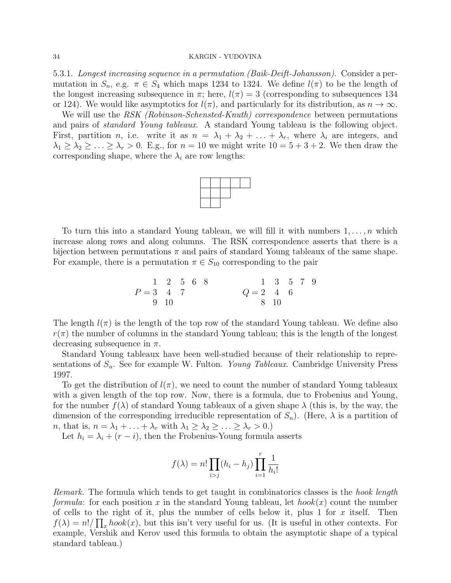5.3.1. Longest increasing sequence in a permutation (Baik-Deift-Johansson). Consider a permutation in  $S_n$ , e.g.  $\pi \in S_4$  which maps 1234 to 1324. We define  $l(\pi)$  to be the length of the longest increasing subsequence in  $\pi$ ; here,  $l(\pi) = 3$  (corresponding to subsequences 134 or 124). We would like asymptotics for  $l(\pi)$ , and particularly for its distribution, as  $n \to \infty$ .

We will use the RSK (Robinson-Schensted-Knuth) correspondence between permutations and pairs of standard Young tableaux. A standard Young tableau is the following object. First, partition *n*, i.e. write it as  $n = \lambda_1 + \lambda_2 + \ldots + \lambda_r$ , where  $\lambda_i$  are integers, and  $\lambda_1 \geq \lambda_2 \geq \ldots \geq \lambda_r > 0$ . E.g., for  $n = 10$  we might write  $10 = 5 + 3 + 2$ . We then draw the corresponding shape, where the  $\lambda_i$  are row lengths:



To turn this into a standard Young tableau, we will fill it with numbers  $1, \ldots, n$  which increase along rows and along columns. The RSK correspondence asserts that there is a bijection between permutations  $\pi$  and pairs of standard Young tableaux of the same shape. For example, there is a permutation  $\pi \in S_{10}$  corresponding to the pair

P = 1 2 5 6 8 3 4 7 9 10 Q = 1 3 5 7 9 2 4 6 8 10

The length  $l(\pi)$  is the length of the top row of the standard Young tableau. We define also  $r(\pi)$  the number of columns in the standard Young tableau; this is the length of the longest decreasing subsequence in  $\pi$ .

Standard Young tableaux have been well-studied because of their relationship to representations of  $S_n$ . See for example W. Fulton. *Young Tableaux*. Cambridge University Press 1997.

To get the distribution of  $l(\pi)$ , we need to count the number of standard Young tableaux with a given length of the top row. Now, there is a formula, due to Frobenius and Young, for the number  $f(\lambda)$  of standard Young tableaux of a given shape  $\lambda$  (this is, by the way, the dimension of the corresponding irreducible representation of  $S_n$ ). (Here,  $\lambda$  is a partition of *n*, that is,  $n = \lambda_1 + \ldots + \lambda_r$  with  $\lambda_1 \geq \lambda_2 \geq \ldots \geq \lambda_r > 0$ .)

Let  $h_i = \lambda_i + (r - i)$ , then the Frobenius-Young formula asserts

$$
f(\lambda) = n! \prod_{i>j} (h_i - h_j) \prod_{i=1}^r \frac{1}{h_i!}
$$

Remark. The formula which tends to get taught in combinatorics classes is the hook length formula: for each position x in the standard Young tableau, let  $hook(x)$  count the number of cells to the right of it, plus the number of cells below it, plus 1 for  $x$  itself. Then  $f(\lambda) = n! / \prod_x \text{hook}(x)$ , but this isn't very useful for us. (It is useful in other contexts. For example, Vershik and Kerov used this formula to obtain the asymptotic shape of a typical standard tableau.)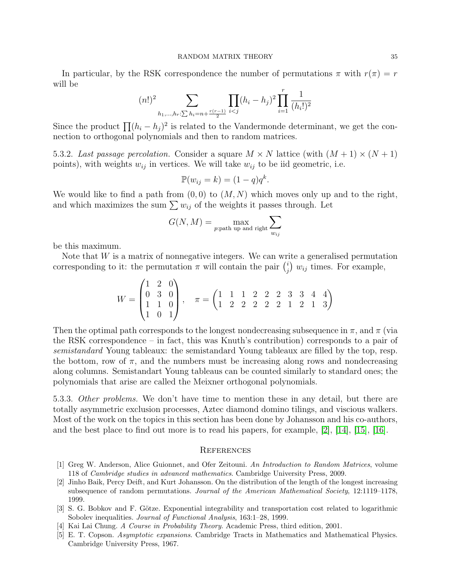In particular, by the RSK correspondence the number of permutations  $\pi$  with  $r(\pi) = r$ will be

$$
(n!)^2 \sum_{h_1,\dots,h_r:\sum h_i=n+\frac{r(r-1)}{2}} \prod_{i
$$

Since the product  $\prod (h_i - h_j)^2$  is related to the Vandermonde determinant, we get the connection to orthogonal polynomials and then to random matrices.

5.3.2. Last passage percolation. Consider a square  $M \times N$  lattice (with  $(M + 1) \times (N + 1)$ ) points), with weights  $w_{ij}$  in vertices. We will take  $w_{ij}$  to be iid geometric, i.e.

$$
\mathbb{P}(w_{ij} = k) = (1 - q)q^k.
$$

We would like to find a path from  $(0,0)$  to  $(M, N)$  which moves only up and to the right, and which maximizes the sum  $\sum w_{ij}$  of the weights it passes through. Let

$$
G(N, M) = \max_{p:\text{path up and right}} \sum_{w_{ij}}
$$

be this maximum.

Note that  $W$  is a matrix of nonnegative integers. We can write a generalised permutation corresponding to it: the permutation  $\pi$  will contain the pair  $\binom{i}{i}$  $j$ )  $w_{ij}$  times. For example,

$$
W = \begin{pmatrix} 1 & 2 & 0 \\ 0 & 3 & 0 \\ 1 & 1 & 0 \\ 1 & 0 & 1 \end{pmatrix}, \quad \pi = \begin{pmatrix} 1 & 1 & 1 & 2 & 2 & 2 & 3 & 3 & 4 & 4 \\ 1 & 2 & 2 & 2 & 2 & 2 & 1 & 2 & 1 & 3 \end{pmatrix}
$$

Then the optimal path corresponds to the longest nondecreasing subsequence in  $\pi$ , and  $\pi$  (via the RSK correspondence – in fact, this was Knuth's contribution) corresponds to a pair of semistandard Young tableaux: the semistandard Young tableaux are filled by the top, resp. the bottom, row of  $\pi$ , and the numbers must be increasing along rows and nondecreasing along columns. Semistandart Young tableaus can be counted similarly to standard ones; the polynomials that arise are called the Meixner orthogonal polynomials.

5.3.3. Other problems. We don't have time to mention these in any detail, but there are totally asymmetric exclusion processes, Aztec diamond domino tilings, and viscious walkers. Most of the work on the topics in this section has been done by Johansson and his co-authors, and the best place to find out more is to read his papers, for example, [\[2\]](#page-34-4), [\[14\]](#page-35-15), [\[15\]](#page-35-16), [\[16\]](#page-35-17).

#### **REFERENCES**

- <span id="page-34-0"></span>[1] Greg W. Anderson, Alice Guionnet, and Ofer Zeitouni. An Introduction to Random Matrices, volume 118 of Cambridge studies in advanced mathematics. Cambridge University Press, 2009.
- <span id="page-34-4"></span>[2] Jinho Baik, Percy Deift, and Kurt Johansson. On the distribution of the length of the longest increasing subsequence of random permutations. Journal of the American Mathematical Society, 12:1119–1178, 1999.
- <span id="page-34-2"></span>[3] S. G. Bobkov and F. Götze. Exponential integrability and transportation cost related to logarithmic Sobolev inequalities. Journal of Functional Analysis, 163:1–28, 1999.
- <span id="page-34-1"></span>[4] Kai Lai Chung. A Course in Probability Theory. Academic Press, third edition, 2001.
- <span id="page-34-3"></span>[5] E. T. Copson. Asymptotic expansions. Cambridge Tracts in Mathematics and Mathematical Physics. Cambridge University Press, 1967.